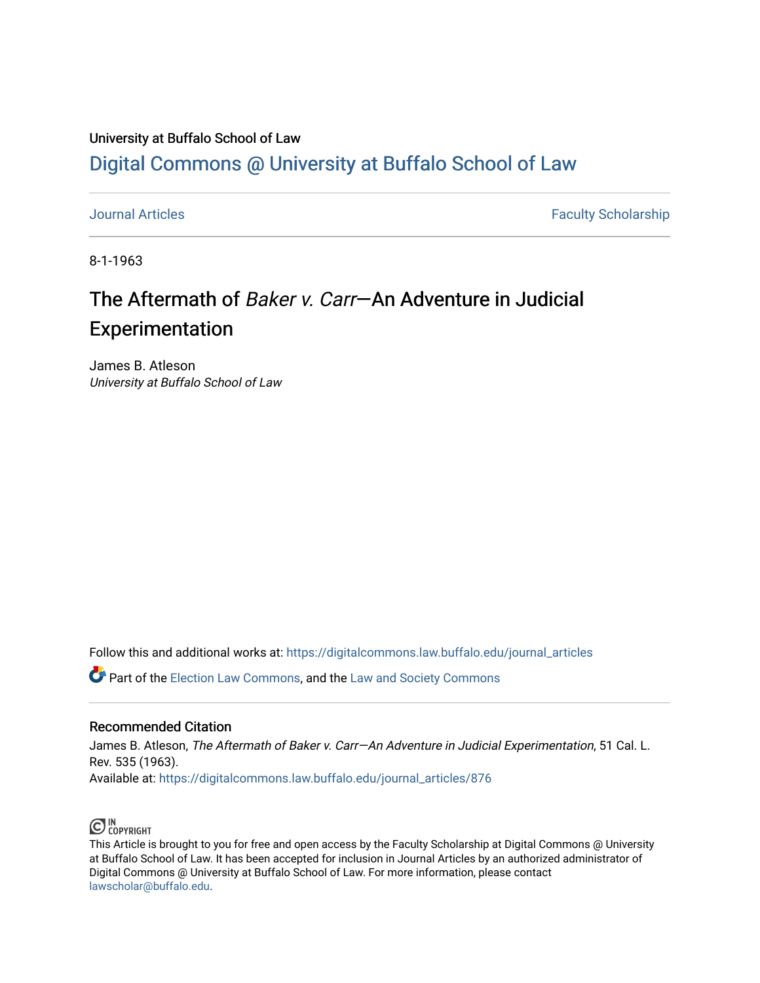# University at Buffalo School of Law [Digital Commons @ University at Buffalo School of Law](https://digitalcommons.law.buffalo.edu/)

[Journal Articles](https://digitalcommons.law.buffalo.edu/journal_articles) **Faculty Scholarship** 

8-1-1963

# The Aftermath of Baker v. Carr—An Adventure in Judicial Experimentation

James B. Atleson University at Buffalo School of Law

Follow this and additional works at: [https://digitalcommons.law.buffalo.edu/journal\\_articles](https://digitalcommons.law.buffalo.edu/journal_articles?utm_source=digitalcommons.law.buffalo.edu%2Fjournal_articles%2F876&utm_medium=PDF&utm_campaign=PDFCoverPages) 

Part of the [Election Law Commons](http://network.bepress.com/hgg/discipline/1121?utm_source=digitalcommons.law.buffalo.edu%2Fjournal_articles%2F876&utm_medium=PDF&utm_campaign=PDFCoverPages), and the [Law and Society Commons](http://network.bepress.com/hgg/discipline/853?utm_source=digitalcommons.law.buffalo.edu%2Fjournal_articles%2F876&utm_medium=PDF&utm_campaign=PDFCoverPages)

# Recommended Citation

James B. Atleson, The Aftermath of Baker v. Carr-An Adventure in Judicial Experimentation, 51 Cal. L. Rev. 535 (1963).

Available at: [https://digitalcommons.law.buffalo.edu/journal\\_articles/876](https://digitalcommons.law.buffalo.edu/journal_articles/876?utm_source=digitalcommons.law.buffalo.edu%2Fjournal_articles%2F876&utm_medium=PDF&utm_campaign=PDFCoverPages)



This Article is brought to you for free and open access by the Faculty Scholarship at Digital Commons @ University at Buffalo School of Law. It has been accepted for inclusion in Journal Articles by an authorized administrator of Digital Commons @ University at Buffalo School of Law. For more information, please contact [lawscholar@buffalo.edu](mailto:lawscholar@buffalo.edu).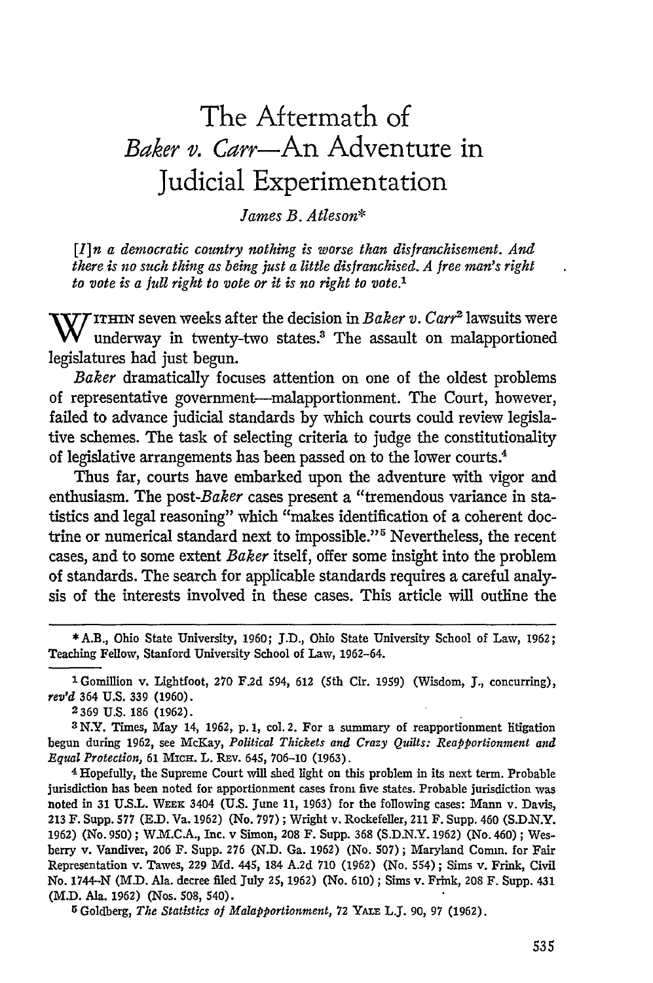# The Aftermath of *Baker v. Carr-An* Adventure in Judicial Experimentation

# *James B. Atleson\**

*[I]n a democratic country nothing is worse than disfranchisement. And there is no such thing as being just a little disfranchised. A free man's right to vote is a full right to vote or it is no right to vote.'*

**W** ITHIN seven weeks after the decision in *Baker v. Carr<sup>2</sup>* lawsuits were underway in twenty-two states.3 The assault on malapportioned legislatures had just begun.

*Baker* dramatically focuses attention on one of the oldest problems of representative government-malapportionment. The Court, however, failed to advance judicial standards by which courts could review legislative schemes. The task of selecting criteria to judge the constitutionality of legislative arrangements has been passed on to the lower courts.4

Thus far, courts have embarked upon the adventure with vigor and enthusiasm. The *post-Baker* cases present a "tremendous variance in statistics and legal reasoning" which "makes identification of a coherent doctrine or numerical standard next to impossible."<sup>5</sup> Nevertheless, the recent cases, and to some extent *Baker* itself, offer some insight into the problem of standards. The search for applicable standards requires a careful analysis of the interests involved in these cases. This article will outline the

2369 U.S. 186 (1962).

**<sup>3</sup>**N.Y. Times, May 14, 1962, p. 1, col. 2. For a summary of reapportionment litigation begun during 1962, see McKay, *Political Thickets and Crazy Quilts: Reapportionment and Equal Protection,* **61** MtcH. L. Rav. 645, 706-10 (1963).

4 Hopefully, the Supreme Court will shed light on this problem in its next term. Probable jurisdiction has been noted for apportionment cases from five states. Probable jurisdiction was noted in 31 U.S.L. **WEEK** 3404 (U.S. June **11,** 1963) for the following cases: Mann v. Davis, **213** F. Supp. **577** (E.D. Va. 1962) (No. 797) ; Wright v. Rockefeller, 211 F. Supp. 460 (S.D.N.Y. 1962) (No. 950); W.M.C.A., Inc. v Simon, 208 F. Supp. **368** (S.D.N.Y. 1962) (No. 460) ; Wesberry v. Vandiver, 206 F. Supp. 276 (N.D. Ga. 1962) (No. 507); Maryland Comm. for Fair Representation v. Tawes, **229** Md. 445, 184 A.2d **710** (1962) (No. *554);* Sims v. Frink, Civil No. 1744-N (M.D. Ala. decree filed July **25,** 1962) (No. 610) ; Sims v. Frink, **208** F. Supp. 431 (M.D. Ala. 1962) (Nos. **508,** 540).

**5** Goldberg, *The Statistics of Malapportionment,* 72 YAr. L.J. **90, 97** (1962).

**<sup>\*</sup>** A.B., Ohio State University, **1960; J.D.,** Ohio State University School of Law, 1962; Teaching Fellow, Stanford University School of Law, 1962-64.

<sup>1</sup>Gomillion v. Lightfoot, 270 F.2d *594,* 612 (5th Cir. 1959) (Wisdom, **J.,** concurring), *rev'd* 364 U.S. **339** (1960).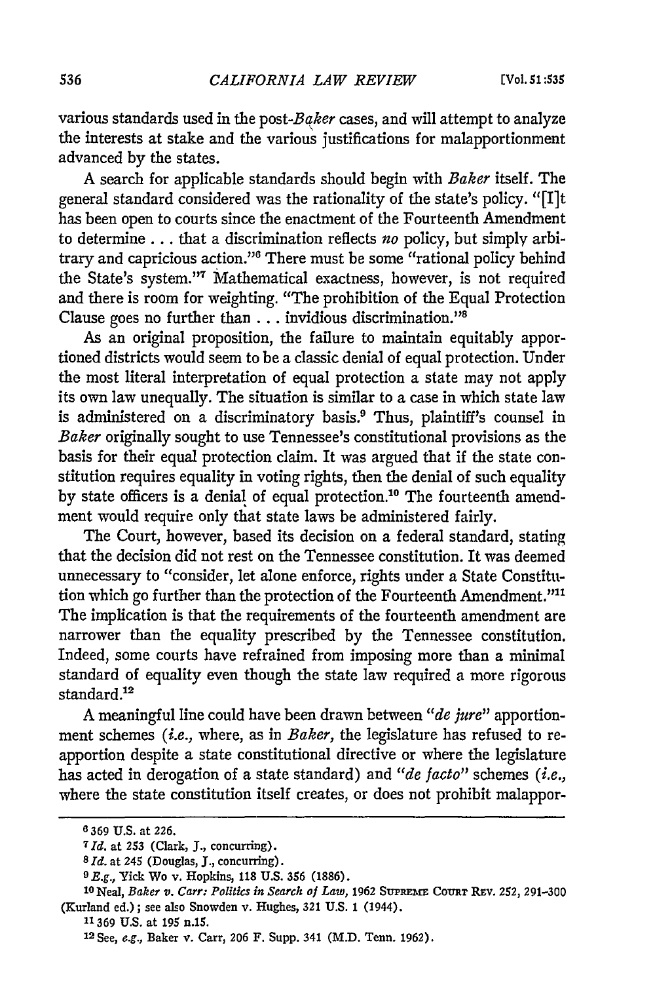various standards used in the *post-Baker* cases, and will attempt to analyze the interests at stake and the various justifications for malapportionment advanced by the states.

A search for applicable standards should begin with *Baker* itself. The general standard considered was the rationality of the state's policy. "[I]t has been open to courts since the enactment of the Fourteenth Amendment to determine **...** that a discrimination reflects *no* policy, but simply arbitrary and capricious action."<sup>6</sup> There must be some "rational policy behind the State's system."<sup>7</sup> Mathematical exactness, however, is not required and there is room for weighting. "The prohibition of the Equal Protection Clause goes no further than **...** invidious discrimination."8

As an original proposition, the failure to maintain equitably apportioned districts would seem to be a classic denial of equal protection. Under the most literal interpretation of equal protection a state may not apply its own law unequally. The situation is similar to a case in which state law is administered on a discriminatory basis.<sup>9</sup> Thus, plaintiff's counsel in *Baker* originally sought to use Tennessee's constitutional provisions as the basis for their equal protection claim. It was argued that if the state constitution requires equality in voting rights, then the denial of such equality by state officers is a denial of equal protection.<sup>10</sup> The fourteenth amendment would require only that state laws be administered fairly.

The Court, however, based its decision on a federal standard, stating that the decision did not rest on the Tennessee constitution. It was deemed unnecessary to "consider, let alone enforce, rights under a State Constitution which go further than the protection of the Fourteenth Amendment."<sup>11</sup> The implication is that the requirements of the fourteenth amendment are narrower than the equality prescribed by the Tennessee constitution. Indeed, some courts have refrained from imposing more than a minimal standard of equality even though the state law required a more rigorous standard.<sup>12</sup>

A meaningful line could have been drawn between *"de jure"* apportionment schemes *(i.e.,* where, as in *Baker,* the legislature has refused to reapportion despite a state constitutional directive or where the legislature has acted in derogation of a state standard) and *"de facto"* schemes *(i.e.,* where the state constitution itself creates, or does not prohibit malappor-

**<sup>6</sup>** 369 **U.S.** at 226.

*<sup>7</sup> Id.* at **253** (Clark, **J.,** concurring).

*<sup>8</sup> Id.* at 245 (Douglas, **J.,** concurring).

*<sup>0</sup>E.g.,* Yick Wo v. Hopkins, **118** U.S. **356** (1886). **<sup>1</sup> <sup>0</sup>**Neal, *Baker v. Carr: Politics in Search of Law,* 1962 SUPREiE **COURT** Ray. 252, 291-300 (Kurland ed.); see also Snowden v. Hughes, **321 U.S.** 1 (1944).

**<sup>11369</sup> U.S.** at **195** n.15.

**<sup>12</sup>**See, e.g., Baker v. Carr, 206 F. Supp. 341 (M.D. Tenn. 1962).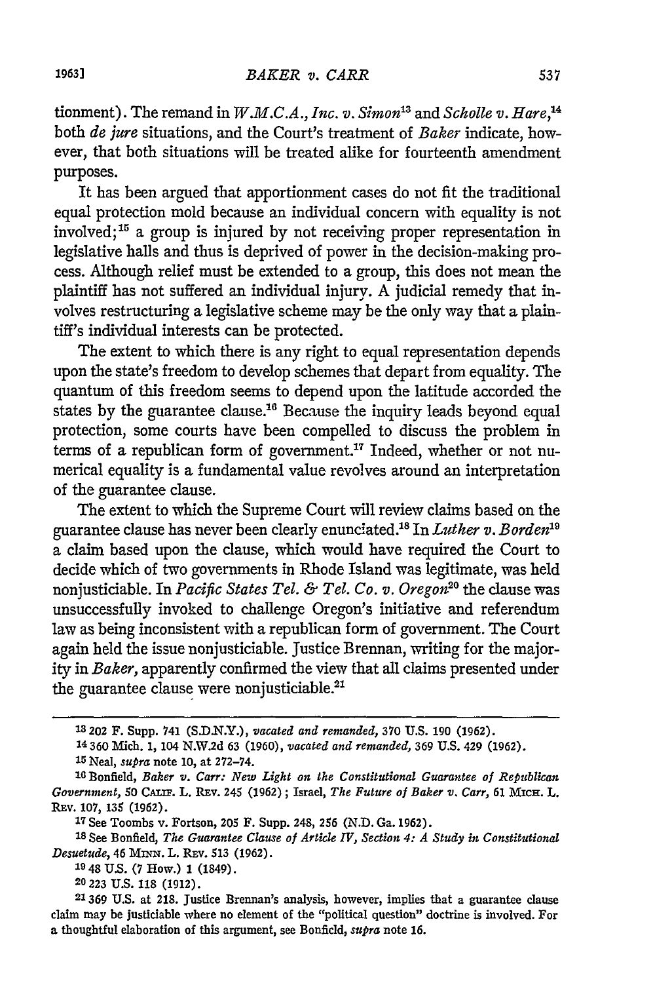tionment). The remand in *W.M.C.A., Inc. v. Simon*<sup>13</sup> and *Scholle v. Hare*,<sup>14</sup> both *de jure* situations, and the Court's treatment of *Baker* indicate, however, that both situations will be treated alike for fourteenth amendment purposes.

It has been argued that apportionment cases do not fit the traditional equal protection mold because an individual concern with equality is not involved; $15$  a group is injured by not receiving proper representation in legislative halls and thus is deprived of power in the decision-making process. Although relief must be extended to a group, this does not mean the plaintiff has not suffered an individual injury. A judicial remedy that involves restructuring a legislative scheme may be the only way that a plaintiff's individual interests can be protected.

The extent to which there is any right to equal representation depends upon the state's freedom to develop schemes that depart from equality. The quantum of this freedom seems to depend upon the latitude accorded the states by the guarantee clause.<sup>16</sup> Because the inquiry leads beyond equal protection, some courts have been compelled to discuss the problem in terms of a republican form of government.<sup>17</sup> Indeed, whether or not numerical equality is a fundamental value revolves around an interpretation of the guarantee clause.

The extent to which the Supreme Court will review claims based on the guarantee clause has never been clearly enunciated.<sup>18</sup> In *Luther v. Borden*<sup>19</sup> a claim based upon the clause, which would have required the Court to decide which of two governments in Rhode Island was legitimate, was held nonjusticiable. In *Pacific States Tel. & Tel. Co. v. Oregon20* the clause was unsuccessfully invoked to challenge Oregon's initiative and referendum law as being inconsistent with a republican form of government. The Court again held the issue nonjusticiable. Justice Brennan, writing for the majority in *Baker,* apparently confirmed the view that all claims presented under the guarantee clause were nonjusticiable.<sup>21</sup>

**<sup>13202</sup>** F. Supp. 741 **(S.D.N.Y.),** *vacated and remanded,* 370 **U.S.** 190 (1962). 14360 **Mich. 1,** 104 **N.W.2d 63 (1960),** *vacated and remanded,* **369 U.S. 429 (1962).** *<sup>15</sup>*Neal, *supra* note **10,** at **272-74.**

**<sup>16</sup>** Bonfield, *Baker v. Carr: New Light on the Constitutional Guarantee of Republican*  $Government$ , **50 CALIF. L. REV. 245 (1962);** Israel, *The Future of Baker v. Carr*, **61 MICH. L.** REv. **107,** 135 **(1962).**

<sup>17</sup>See Toombs v. Fortson, **205** F. Supp. 248, **256 (N.D.** Ga. **1962).**

**<sup>18</sup>**See Bonfield, *The Guarantee Clause of Article IV, Section 4: A Study in Constitutional Desuetude,* 46 MINN. L. Rav. **513 (1962).**

**<sup>19</sup>** 48 **U.S. (7** How.) **1** (1849).

<sup>20</sup> **223 U.S. 118 (1912).**

**<sup>21369</sup> U.S.** at **218.** Justice Brennan's analysis, however, implies that a guarantee clause claim may be justiciable where no element of the "political question" doctrine is involved. For a thoughtful elaboration of this argument, see Bonfield, *supra* note **16.**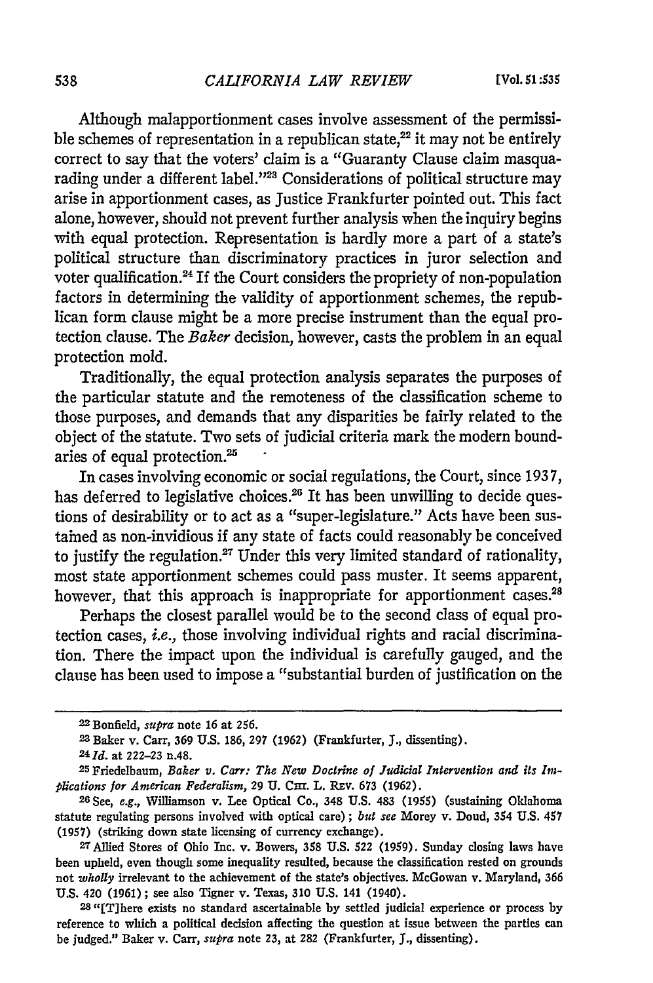Although malapportionment cases involve assessment of the permissible schemes of representation in a republican state, $^{22}$  it may not be entirely correct to say that the voters' claim is a "Guaranty Clause claim masquarading under a different label."<sup>23</sup> Considerations of political structure may arise in apportionment cases, as Justice Frankfurter pointed out. This fact alone, however, should not prevent further analysis when the inquiry begins with equal protection. Representation is hardly more a part of a state's political structure than discriminatory practices in juror selection and voter qualification.<sup>24</sup> If the Court considers the propriety of non-population factors in determining the validity of apportionment schemes, the republican form clause might be a more precise instrument than the equal protection clause. The *Baker* decision, however, casts the problem in an equal protection mold.

Traditionally, the equal protection analysis separates the purposes of the particular statute and the remoteness of the classification scheme to those purposes, and demands that any disparities be fairly related to the object of the statute. Two sets of judicial criteria mark the modern boundaries of equal protection.<sup>25</sup>

In cases involving economic or social regulations, the Court, since 1937, has deferred to legislative choices.<sup>26</sup> It has been unwilling to decide questions of desirability or to act as a "super-legislature." Acts have been sustained as non-invidious if any state of facts could reasonably be conceived to justify the regulation.<sup>27</sup> Under this very limited standard of rationality, most state apportionment schemes could pass muster. It seems apparent, however, that this approach is inappropriate for apportionment cases.<sup>28</sup>

Perhaps the closest parallel would be to the second class of equal protection cases, i.e., those involving individual rights and racial discrimination. There the impact upon the individual is carefully gauged, and the clause has been used to impose a "substantial burden of justification on the

<sup>22</sup> Bonfield, *supra* note **16** at **256.**

<sup>2</sup> Baker v. Carr, 369 U.S. 186, 297 (1962) (Frankfurter, **J.,** dissenting). *241d.* at **222-23** n.48.

<sup>25</sup> Friedelbaum, *Baker v. Carr: The New Doctrine of Judicial Intervention and its Intplications for American Federalism,* 29 U. CHI. L. REV. 673 (1962).

<sup>26</sup> See, *e.g.,* Williamson v. Lee Optical Co., 348 **U.S.** 483 (1955) (sustaining Oklahoma statute regulating persons involved with optical care) **;** *but see* Morey v. Doud, 354 **U.S.** 457 (1957) (striking down state licensing of currency exchange). <sup>2</sup>

<sup>7</sup>Allied Stores of Ohio Inc. v. Bowers, 358 U.S. 522 (1959). Sunday closing laws have been upheld, even though some inequality resulted, because the classification rested on grounds not *wholly* irrelevant to the achievement of the state's objectives. McGowan v. Maryland, 366 U.S. 420 (1961); see also Tigner v. Texas, 310 U.S. 141 (1940).

**<sup>28</sup>** "[T]here exists no standard ascertainable **by** settled judicial experience or process by reference to which a political decision affecting the question at issue between the parties can be judged." Baker v. Carr, *supra* note **23,** at **282** (Frankfurter, *J.,* dissenting).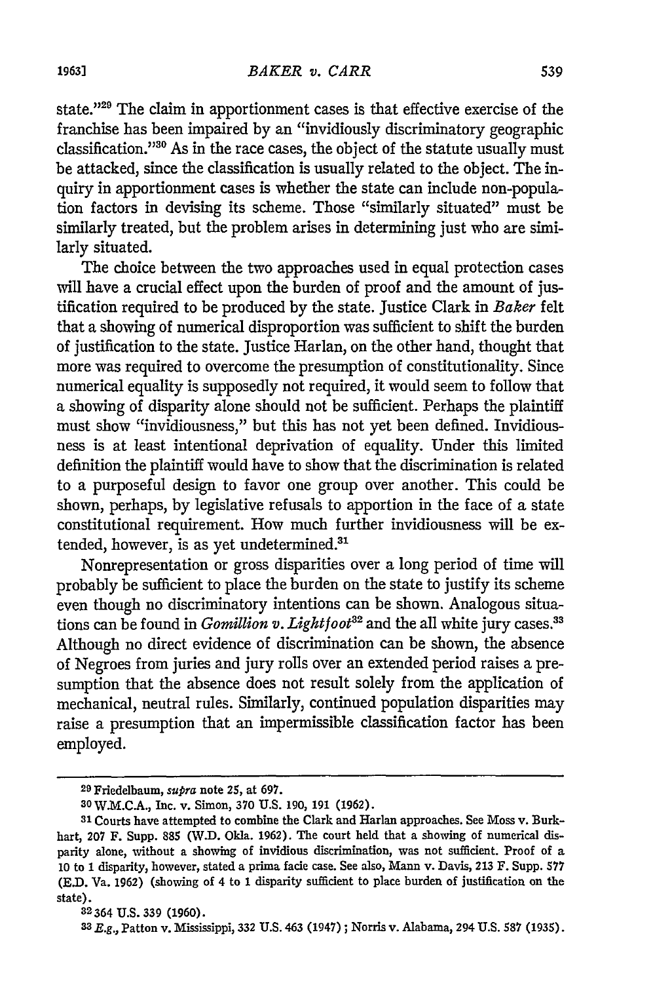state."29 The claim in apportionment cases is that effective exercise of the franchise has been impaired by an "invidiously discriminatory geographic classification."30 As in the race cases, the object of the statute usually must be attacked, since the classification is usually related to the object. The inquiry in apportionment cases is whether the state can include non-population factors in devising its scheme. Those "similarly situated" must be similarly treated, but the problem arises in determining just who are similarly situated.

The choice between the two approaches used in equal protection cases will have a crucial effect upon the burden of proof and the amount of justification required to be produced by the state. Justice Clark in *Baker* felt that a showing of numerical disproportion was sufficient to shift the burden of justification to the state. Justice Harlan, on the other hand, thought that more was required to overcome the presumption of constitutionality. Since numerical equality is supposedly not required, it would seem to follow that a showing of disparity alone should not be sufficient. Perhaps the plaintiff must show "invidiousness," but this has not yet been defined. Invidiousness is at least intentional deprivation of equality. Under this limited definition the plaintiff would have to show that the discrimination is related to a purposeful design to favor one group over another. This could be shown, perhaps, by legislative refusals to apportion in the face of a state constitutional requirement. How much further invidiousness will be extended, however, is as yet undetermined.<sup>31</sup>

Nonrepresentation or gross disparities over a long period of time will probably be sufficient to place the burden on the state to justify its scheme even though no discriminatory intentions can be shown. Analogous situations can be found in *Gomillion v. Lightfoot*<sup>32</sup> and the all white jury cases.<sup>33</sup> Although no direct evidence of discrimination can be shown, the absence of Negroes from juries and jury rolls over an extended period raises a presumption that the absence does not result solely from the application of mechanical, neutral rules. Similarly, continued population disparities may raise a presumption that an impermissible classification factor has been employed.

**<sup>2</sup> <sup>9</sup>**Friedelbaum, **supra** note 25, at 697.

**<sup>30</sup> W.M.C.A.,** Inc. v. Simon, **370 U.S.** 190, 191 **(1962). <sup>3</sup> <sup>1</sup>**Courts have attempted to combine the Clark and Harlan approaches. See Moss v. Burkhart, **207** F. Supp. **885** (W.D. Okla. **1962).** The court held that a showing of numerical disparity alone, without a showing of invidious discrimination, was not sufficient. Proof of a **10** to 1 disparity, however, stated a prima fade case. See also, Mann v. Davis, 213 F. Supp. 577 **(E.D.** Va. 1962) (showing of 4 to 1 disparity sufficient to place burden of justification on the state).

<sup>32364</sup>**U.S. 339** (1960). **<sup>33</sup>** R.g., Patton v. Mississippi, **332 U.S.** 463 (1947) ; Norris v. Alabama, 294 U.S. **587** (1935).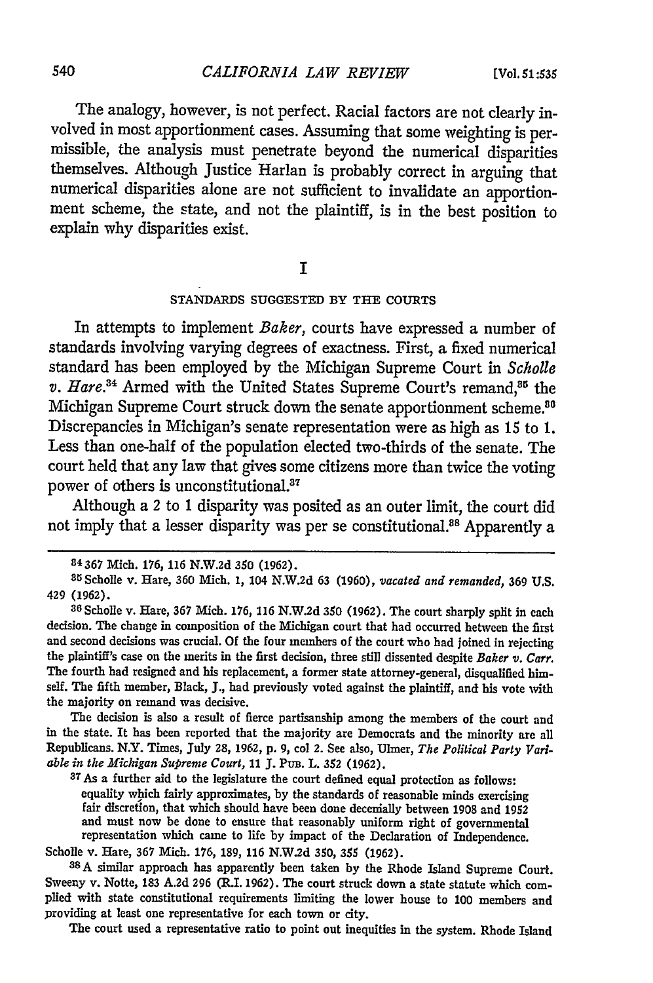The analogy, however, is not perfect. Racial factors are not clearly involved in most apportionment cases. Assuming that some weighting is permissible, the analysis must penetrate beyond the numerical disparities themselves. Although Justice Harlan is probably correct in arguing that numerical disparities alone are not sufficient to invalidate an apportionment scheme, the state, and not the plaintiff, is in the best position to explain why disparities exist.

### I

#### **STANDARDS SUGGESTED** BY **THE COURTS**

In attempts to implement *Baker,* courts have expressed a number of standards involving varying degrees of exactness. First, a fixed numerical standard has been employed by the Michigan Supreme Court in *Scholle v. Hare.*<sup>34</sup> Armed with the United States Supreme Court's remand,<sup>35</sup> the Michigan Supreme Court struck down the senate apportionment scheme.<sup>80</sup> Discrepancies in Michigan's senate representation were as high as 15 to 1. Less than one-half of the population elected two-thirds of the senate. The court held that any law that gives some citizens more than twice the voting power of others is unconstitutional.<sup>87</sup>

Although a 2 to 1 disparity was posited as an outer limit, the court did not imply that a lesser disparity was per se constitutional.<sup>88</sup> Apparently a

The decision is also a result of fierce partisanship among the members of the court and in the state. It has been reported that the majority are Democrats and the minority are all Republicans. N.Y. Times, July **28, 1962, p. 9,** col **2.** See also, Ulmer, *The Political Party Variable in the Michigan Supreme Court,* **11 J.** Pur. L. **352 (1962). <sup>3</sup> <sup>7</sup> As** a further aid to the legislature the court defined equal protection as follows:

equality which fairly approximates, by the standards of reasonable minds exercising fair discretion, that which should have been done decenially between 1908 and 1952 and must now be done to ensure that reasonably uniform right of governmental representation which came to life **by** impact of the Declaration of Independence.

Scholle v. Hare, 367 Mich. 176, **189,** 116 N.W.2d 350, 355 (1962). **<sup>38</sup> <sup>A</sup>**similar approach has apparently been taken by the Rhode Island Supreme Court. Sweeny v. Notte, **183** A.2d **296** (R.I. 1962). The court struck down a state statute which complied with state constitutional requirements limiting the lower house to 100 members and providing at least one representative for each town or city.

The court used a representative ratio to point out inequities in the system. Rhode Island

**<sup>84367</sup>** Mich. 176, 116 N.W.2d **350 (1962).**

<sup>3</sup> <sup>5</sup> Scholle v. Hare, **360** Mich. **1,** 104 N.W.2d **63 (1960),** *vacated and remanded,* **369 U.S.** 429 (1962).

**<sup>36</sup>**Scholle v. Hare, **367** Mich. 176, 116 N.W.2d **350** (1962). The court sharply split in each decision. The change in composition of the Michigan court that bad occurred between the first and second decisions was crucial. Of the four members of the court who had joined in rejecting the plaintiff's case on the merits in the first decision, three still dissented despite *Baker v. Carr.* The fourth had resigned and his replacement, a former state attorney-general, disqualified himself. The fifth member, Black, **J.,** had previously voted against the plaintiff, and his vote with the majority on remand was decisive.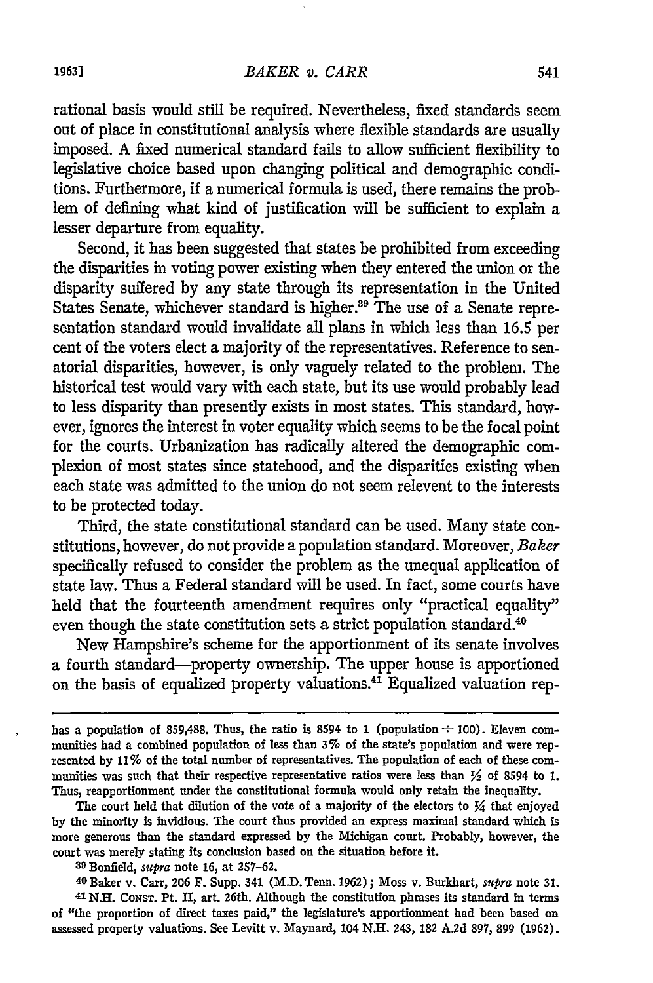rational basis would still be required. Nevertheless, fixed standards seem out of place in constitutional analysis where flexible standards are usually imposed. A fixed numerical standard fails to allow sufficient flexibility to legislative choice based upon changing political and demographic conditions. Furthermore, if a numerical formula is used, there remains the problem of defining what kind of justification will be sufficient to explain a lesser departure from equality.

Second, it has been suggested that states be prohibited from exceeding the disparities in voting power existing when they entered the union or the disparity suffered by any state through its representation in the United States Senate, whichever standard is higher.<sup>39</sup> The use of a Senate representation standard would invalidate all plans in which less than 16.5 per cent of the voters elect a majority of the representatives. Reference to senatorial disparities, however, is only vaguely related to the problem. The historical test would vary with each state, but its use would probably lead to less disparity than presently exists in most states. This standard, however, ignores the interest in voter equality which seems to be the focal point for the courts. Urbanization has radically altered the demographic complexion of most states since statehood, and the disparities existing when each state was admitted to the union do not seem relevent to the interests to be protected today.

Third, the state constitutional standard can be used. Many state constitutions, however, do not provide a population standard. Moreover, *Baker* specifically refused to consider the problem as the unequal application of state law. Thus a Federal standard will be used. In fact, some courts have held that the fourteenth amendment requires only "practical equality" even though the state constitution sets a strict population standard.<sup>40</sup>

New Hampshire's scheme for the apportionment of its senate involves a fourth standard-property ownership. The upper house is apportioned on the basis of equalized property valuations.41 Equalized valuation rep-

The court held that dilution of the vote of a majority of the electors to  $\frac{1}{4}$  that enjoyed by the minority is invidious. The court thus provided an express maximal standard which is more generous than the standard expressed by the Michigan court. Probably, however, the court was merely stating its conclusion based on the situation before it.

<sup>39</sup> Bonfield, *supra* note 16, at 257–62.<br><sup>40</sup> Baker v. Carr, 206 F. Supp. 341 (M.D. Tenn. 1962); Moss v. Burkhart, *supra* note 31.<br><sup>41</sup> N.H. Consr. Pt. II, art. 26th. Although the constitution phrases its standard in t of "the proportion of direct taxes paid," the legislature's apportionment had been based on assessed property valuations. See Levitt v. Maynard, 104 **NH.** 243, 182 **A.2d 897, 899 (1962).**

has a population of 859,488. Thus, the ratio is 8594 to 1 (population  $\div$  100). Eleven communities had a combined population of less than **3%** of the state's population and were represented by **11%** of the total number of representatives. The population of each of these communities was such that their respective representative ratios were less than  $\frac{1}{2}$  of 8594 to 1. Thus, reapportionment under the constitutional formula would only retain the inequality.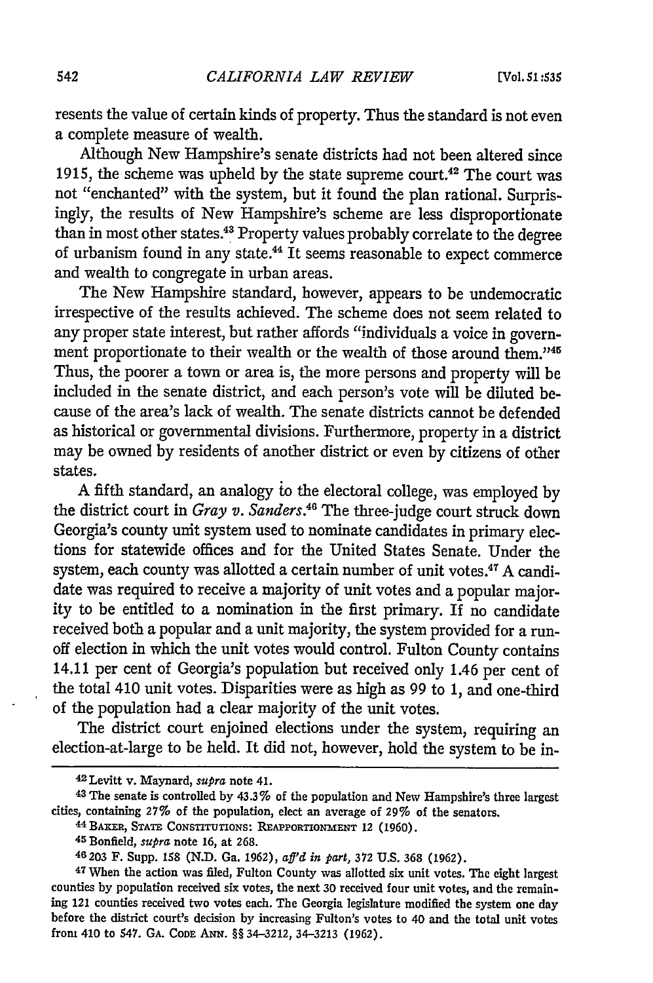resents the value of certain kinds of property. Thus the standard is not even a complete measure of wealth.

Although New Hampshire's senate districts had not been altered since 1915, the scheme was upheld by the state supreme court.42 The court was not "enchanted" with the system, but it found the plan rational. Surprisingly, the results of New Hampshire's scheme are less disproportionate than in most other states.<sup>43</sup> Property values probably correlate to the degree of urbanism found in any state.44 It seems reasonable to expect commerce and wealth to congregate in urban areas.

The New Hampshire standard, however, appears to be undemocratic irrespective of the results achieved. The scheme does not seem related to any proper state interest, but rather affords "individuals a voice in government proportionate to their wealth or the wealth of those around them."<sup>45</sup> Thus, the poorer a town or area is, the more persons and property will be included in the senate district, and each person's vote will be diluted because of the area's lack of wealth. The senate districts cannot be defended as historical or governmental divisions. Furthermore, property in a district may be owned by residents of another district or even by citizens of other states.

A fifth standard, an analogy io the electoral college, was employed by the district court in *Gray v. Sanders.46* The three-judge court struck down Georgia's county unit system used to nominate candidates in primary elections for statewide offices and for the United States Senate. Under the system, each county was allotted a certain number of unit votes.<sup>47</sup> A candidate was required to receive a majority of unit votes and a popular majority to be entitled to a nomination in the first primary. If no candidate received both a popular and a unit majority, the system provided for a runoff election in which the unit votes would control. Fulton County contains 14.11 per cent of Georgia's population but received only 1.46 per cent of the total 410 unit votes. Disparities were as high as 99 to 1, and one-third of the population had a clear majority of the unit votes.

The district court enjoined elections under the system, requiring an election-at-large to be held. It did not, however, hold the system to be in-

**<sup>42</sup>**Levitt v. Maynard, *supra* note 41.

**<sup>43</sup> The** senate is controlled **by** 43.3% of the population and **New** Hampshire's three largest cities, containing 27% of the population, elect an average of 29% of the senators. 44 BAKER, STATE CONSTITUTIONS: REAPPORTIONMENT 12 (1960). 45 Bonfield, *supra* note 16, at 268.

**<sup>46203</sup>** F. Supp. **158 (N.D.** Ga. **1962),** *aff'd in part,* **372 U.S. 368 (1962).**

**<sup>47</sup>**When the action was filed, Fulton County was allotted six unit votes. The eight largest counties **by** population received six votes, the next **30** received four unit votes, and the remain**ing** 121 counties received two votes each. The Georgia legislature modified the system one day before the district court's decision **by** increasing Fulton's votes to 40 and the total unit votes from 410 to 547. **GA. CODE ANN.** §§ 34-3212, 34-3213 **(1962).**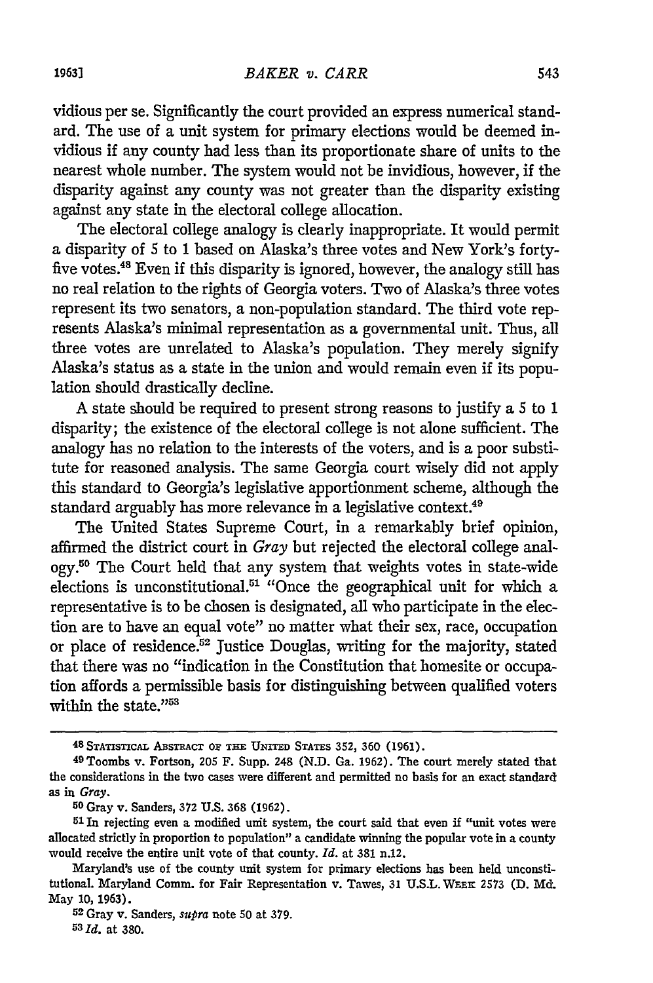vidious per se. Significantly the court provided an express numerical standard. The use of a unit system for primary elections would be deemed invidious if any county had less than its proportionate share of units to the nearest whole number. The system would not be invidious, however, if the disparity against any county was not greater than the disparity existing against any state in the electoral college allocation.

The electoral college analogy is clearly inappropriate. It would permit a disparity of 5 to 1 based on Alaska's three votes and New York's fortyfive votes.48 Even if this disparity is ignored, however, the analogy still has no real relation to the rights of Georgia voters. Two of Alaska's three votes represent its two senators, a non-population standard. The third vote represents Alaska's minimal representation as a governmental unit. Thus, all three votes are unrelated to Alaska's population. They merely signify Alaska's status as a state in the union and would remain even if its population should drastically decline.

A state should be required to present strong reasons to justify a 5 to 1 disparity; the existence of the electoral college is not alone sufficient. The analogy has no relation to the interests of the voters, and is a poor substitute for reasoned analysis. The same Georgia court wisely did not apply this standard to Georgia's legislative apportionment scheme, although the standard arguably has more relevance in a legislative context.<sup>49</sup>

The United States Supreme Court, in a remarkably brief opinion, affirmed the district court in *Gray* but rejected the electoral college analogy.<sup>50</sup> The Court held that any system that weights votes in state-wide elections is unconstitutional.51 "Once the geographical unit for which a representative is to be chosen is designated, all who participate in the election are to have an equal vote" no matter what their sex, race, occupation or place of residence.<sup>52</sup> Justice Douglas, writing for the majority, stated that there was no "indication in the Constitution that homesite or occupation affords a permissible basis for distinguishing between qualified voters within the state."<sup>53</sup>

**<sup>48</sup> STATiSTICpA** ABsTRAcT **01? THE UNITED STATES 352, 360** (1961).

<sup>49</sup> Toombs v. Fortson, **205** F. Supp. 248 (N.D. Ga. 1962). The court merely stated that the considerations in the two cases were different and permitted no basis for an exact standard as in *Gray.*

**<sup>5</sup>o** Gray v. Sanders, **372** U.S. 368 **(1962).** <sup>5</sup> 1 In rejecting even a modified unit system, the court said that even if "unit votes were allocated strictly in proportion to population" a candidate winning the popular vote in a county would receive the entire unit vote of that county. *Id.* at 381 n.12.

Maryland's use of the county unit system for primary elections has been held unconstitutional. Maryland Comm. for Fair Representation v. Tawes, 31 **U.S.L. WEEK** 2573 **(D. Md.** May 10, 1963).

<sup>52</sup> Gray v. Sanders, *supra* note 50 at 379. **<sup>53</sup>***Id.* at 380.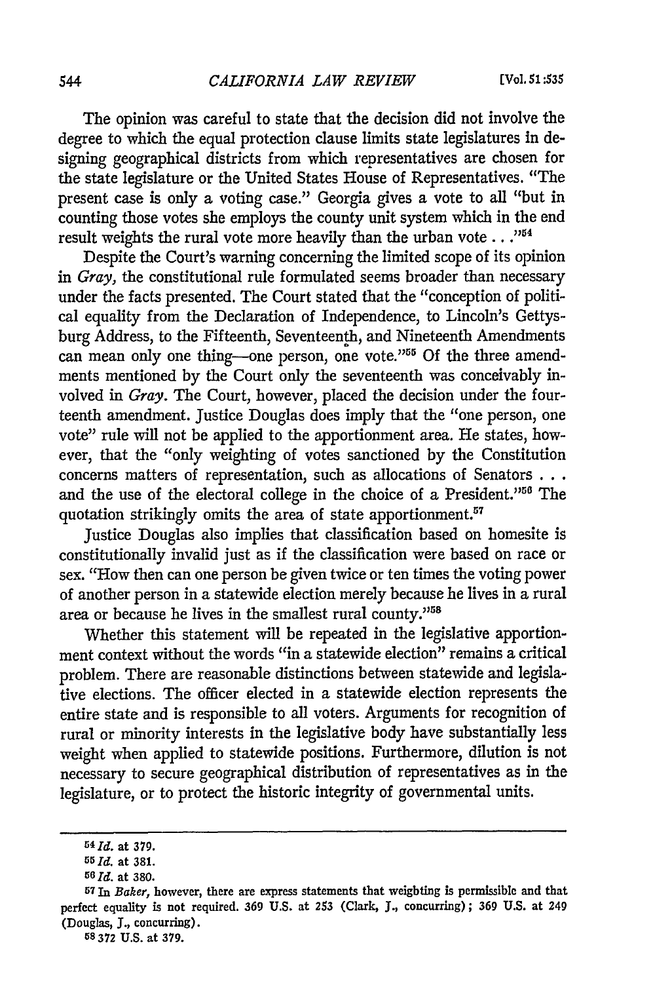The opinion was careful to state that the decision did not involve the degree to which the equal protection clause limits state legislatures in designing geographical districts from which representatives are chosen for the state legislature or the United States House of Representatives. "The present case is only a voting case." Georgia gives a vote to all "but in counting those votes she employs the county unit system which in the end result weights the rural vote more heavily than the urban vote . . . "<sup>54</sup>

Despite the Court's warning concerning the limited scope of its opinion in *Gray,* the constitutional rule formulated seems broader than necessary under the facts presented. The Court stated that the "conception of political equality from the Declaration of Independence, to Lincoln's Gettysburg Address, to the Fifteenth, Seventeenth, and Nineteenth Amendments can mean only one thing-one person, one vote."<sup>55</sup> Of the three amendments mentioned by the Court only the seventeenth was conceivably involved in *Gray.* The Court, however, placed the decision under the fourteenth amendment. Justice Douglas does imply that the "one person, one vote" rule will not be applied to the apportionment area. He states, however, that the "only weighting of votes sanctioned by the Constitution concerns matters of representation, such as allocations of Senators **...** and the use of the electoral college in the choice of a President."<sup>56</sup> The quotation strikingly omits the area of state apportionment.<sup>57</sup>

Justice Douglas also implies that classification based on homesite is constitutionally invalid just as if the classification were based on race or sex. "How then can one person be given twice or ten times the voting power of another person in a statewide election merely because he lives in a rural area or because he lives in the smallest rural county."<sup>58</sup>

Whether this statement will be repeated in the legislative apportionment context without the words "in a statewide election" remains a critical problem. There are reasonable distinctions between statewide and legislative elections. The officer elected in a statewide election represents the entire state and is responsible to all voters. Arguments for recognition of rural or minority interests in the legislative body have substantially less weight when applied to statewide positions. Furthermore, dilution is not necessary to secure geographical distribution of representatives as in the legislature, or to protect the historic integrity of governmental units.

**58 372 U.S.** at **379.**

**<sup>54</sup>Id. at 379.**

*<sup>55</sup>***Id.** at 381.

**<sup>56</sup> Id.** at 380.

**<sup>57</sup>**In *Baker,* however, there are express statements that weighting is permissible and that perfect equality is not required. **369** U.S. at **253** (Clark, **J.,** concurring); **369** U.S. at 249 (Douglas, J., concurring).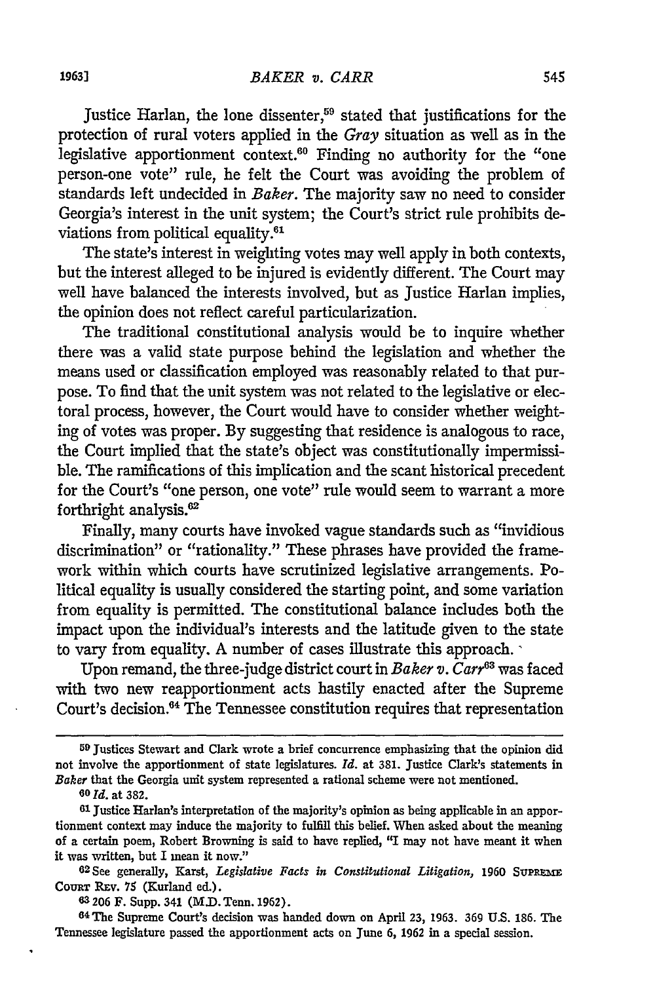Justice Harlan, the lone dissenter,<sup>59</sup> stated that justifications for the protection of rural voters applied in the *Gray* situation as well as in the legislative apportionment context.<sup>60</sup> Finding no authority for the "one person-one vote" rule, he felt the Court was avoiding the problem of standards left undecided in *Baker.* The majority saw no need to consider Georgia's interest in the unit system; the Court's strict rule prohibits deviations from political equality.<sup>61</sup>

The state's interest in weighting votes may well apply in both contexts, but the interest alleged to be injured is evidently different. The Court may well have balanced the interests involved, but as Justice Harlan implies, the opinion does not reflect careful particularization.

The traditional constitutional analysis would be to inquire whether there was a valid state purpose behind the legislation and whether the means used or classification employed was reasonably related to that purpose. To find that the unit system was not related to the legislative or electoral process, however, the Court would have to consider whether weighting of votes was proper. By suggesting that residence is analogous to race, the Court implied that the state's object was constitutionally impermissible. The ramifications of this implication and the scant historical precedent for the Court's "one person, one vote" rule would seem to warrant a more forthright analysis.<sup>62</sup>

Finally, many courts have invoked vague standards such as "invidious discrimination" or "rationality." These phrases have provided the framework within which courts have scrutinized legislative arrangements. Political equality is usually considered the starting point, and some variation from equality is permitted. The constitutional balance includes both the impact upon the individual's interests and the latitude given to the state to vary from equality. A number of cases illustrate this approach.

Upon remand, the three-judge district court in *Baker v. Carr*<sup>63</sup> was faced with two new reapportionment acts hastily enacted after the Supreme Court's decision.64 The Tennessee constitution requires that representation

<sup>59</sup> Justices Stewart and Clark wrote a brief concurrence emphasizing that the opinion did not involve the apportionment of state legislatures. *Id.* at 381. Justice Clark's statements in *Baker* that the Georgia unit system represented a rational scheme were not mentioned.

**<sup>6</sup>o Id.** at **382.**

**<sup>61</sup>** justice Harlan's interpretation of the majority's opinion as being applicable in an apportionment context may induce the majority to fulfill this belief. When asked about the meaning of a certain poem, Robert Browning is said to have replied, "I may not have meant it when it was written, but I mean it *now."*

**<sup>62</sup> See generally, Karst, Legislative Facts in Constitutional Litigation, 1960 SUPREME** COURT REV. 75 (Kurland ed.).

**<sup>63 206</sup>** F. Supp. 341 (M.D. Tenn. **1962).**

<sup>64</sup> The Supreme Court's decision was handed down on April **23, 1963. 369 U.S. 186.** The Tennessee legislature passed the apportionment acts on June **6, 1962** in a special session.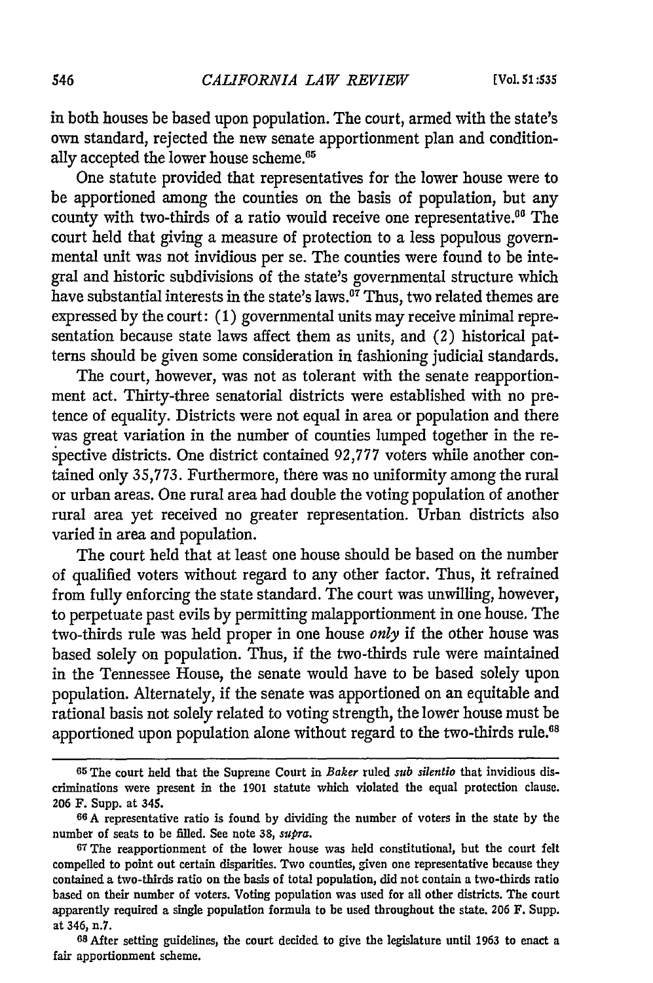in both houses be based upon population. The court, armed with the state's own standard, rejected the new senate apportionment plan and conditionally accepted the lower house scheme.<sup>65</sup>

One statute provided that representatives for the lower house were to be apportioned among the counties on the basis of population, but any county with two-thirds of a ratio would receive one representative.<sup>06</sup> The court held that giving a measure of protection to a less populous governmental unit was not invidious per se. The counties were found to be integral and historic subdivisions of the state's governmental structure which have substantial interests in the state's laws.<sup> $\sigma\bar{\tau}$ </sup> Thus, two related themes are expressed by the court: (1) governmental units may receive minimal representation because state laws affect them as units, and *(2)* historical patterns should be given some consideration in fashioning judicial standards.

The court, however, was not as tolerant with the senate reapportionment act. Thirty-three senatorial districts were established with no pretence of equality. Districts were not equal in area or population and there was great variation in the number of counties lumped together in the respective districts. One district contained 92,777 voters while another contained only 35,773. Furthermore, there was no uniformity among the rural or urban areas. One rural area had double the voting population of another rural area yet received no greater representation. Urban districts also varied in area and population.

The court held that at least one house should be based on the number of qualified voters without regard to any other factor. Thus, it refrained from fully enforcing the state standard. The court was unwilling, however, to perpetuate past evils by permitting malapportionment in one house. The two-thirds rule was held proper in one house *only* if the other house was based solely on population. Thus, if the two-thirds rule were maintained in the Tennessee House, the senate would have to be based solely upon population. Alternately, if the senate was apportioned on an equitable and rational basis not solely related to voting strength, the lower house must be apportioned upon population alone without regard to the two-thirds rule.<sup>68</sup>

**<sup>65</sup>**The court held that the Supreme Court in *Baker* ruled *sub silentio* that invidious discriminations were present in the 1901 statute which violated the equal protection clause. 206 F. Supp. at 345.

**<sup>66</sup>A** representative ratio is found **by** dividing the number of voters in the state **by** the number of seats to be filled. See note **38,** *supra.*

**<sup>67</sup> The** reapportionment of the lower house was held constitutional, but the court felt compelled to point out certain disparities. Two counties, given one representative because they contained a two-thirds ratio on the basis of total population, did not contain a two-thirds ratio based on their number of voters. Voting population was used for all other districts. The court apparently required a single population formula to be used throughout the state. **206** F. Supp. at 346, n.7.

**<sup>68</sup>** After setting guidelines, the court decided to give the legislature until 1963 to enact a fair apportionment scheme.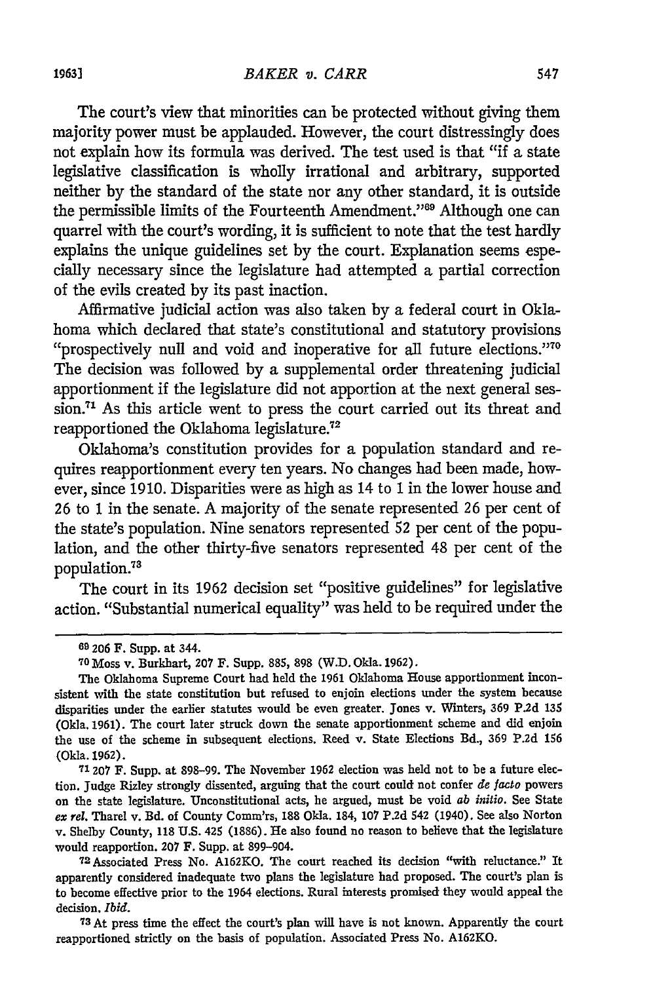The court's view that minorities can be protected without giving them majority power must be applauded. However, the court distressingly does not explain how its formula was derived. The test used is that "if a state legislative classification is wholly irrational and arbitrary, supported neither by the standard of the state nor any other standard, it is outside the permissible limits of the Fourteenth Amendment."<sup>69</sup> Although one can quarrel with the court's wording, it is sufficient to note that the test hardly explains the unique guidelines set by the court. Explanation seems especially necessary since the legislature had attempted a partial correction of the evils created by its past inaction.

Affirmative judicial action was also taken by a federal court in Oklahoma which declared that state's constitutional and statutory provisions "prospectively null and void and inoperative for all future elections."<sup>70</sup> The decision was followed by a supplemental order threatening judicial apportionment if the legislature did not apportion at the next general session.<sup>71</sup> As this article went to press the court carried out its threat and reapportioned the Oklahoma legislature.<sup>72</sup>

Oklahoma's constitution provides for a population standard and requires reapportionment every ten years. No changes had been made, however, since 1910. Disparities were as high as 14 to 1 in the lower house and 26 to 1 in the senate. A majority of the senate represented 26 per cent of the state's population. Nine senators represented 52 per cent of the population, and the other thirty-five senators represented 48 per cent of the population.<sup>73</sup>

The court in its 1962 decision set "positive guidelines" for legislative action. "Substantial numerical equality" was held to be required under the

**<sup>69</sup>206** F. Supp. at 344. **<sup>70</sup>**Moss v. Burkhart, **207** F. Supp. **885, 898** (W.D. Okla. **1962).**

The Oklahoma Supreme Court had held the **1961** Oklahoma House apportionment inconsistent with the state constitution but refused to enjoin elections under the system because disparities under the earlier statutes would be even greater. Jones v. Winters, **369 P.2d 135** (Okla. **1961).** The court later struck down the senate apportionment scheme and did enjoin the use of the scheme in subsequent elections. Reed v. State Elections Bd., **369 P.2d 156** (Okla. **1962).**

**<sup>71207</sup>** F. Supp. at **898-99.** The November **1962** election was held not to be a future election. Judge Rizley strongly dissented, arguing that the court could not confer *de Jacto* powers on the state legislature. Unconstitutional acts, he argued, must **be** void *ab initio.* See State *ex rel.* Tharel v. **Bd.** of County Comm'rs, **188** Okla. 184, **107 P.2d** 542 (1940). See also Norton v. Shelby County, **118 U.S.** 425 (1886). He also found no reason to believe that the legislature would reapportion. **207** F. Supp. at **899-904.** <sup>7</sup> <sup>2</sup>Associated Press No. A162KO. The court reached its decision "with reluctance." It

apparently considered inadequate two plans the legislature had proposed. The court's plan is to become effective prior to the 1964 elections. Rural interests promised they would appeal the decision. *Ibid.*

**<sup>73</sup>**At press time the effect the court's plan will have is not known. Apparently the court reapportioned strictly on the basis of population. Associated Press No. A162KO.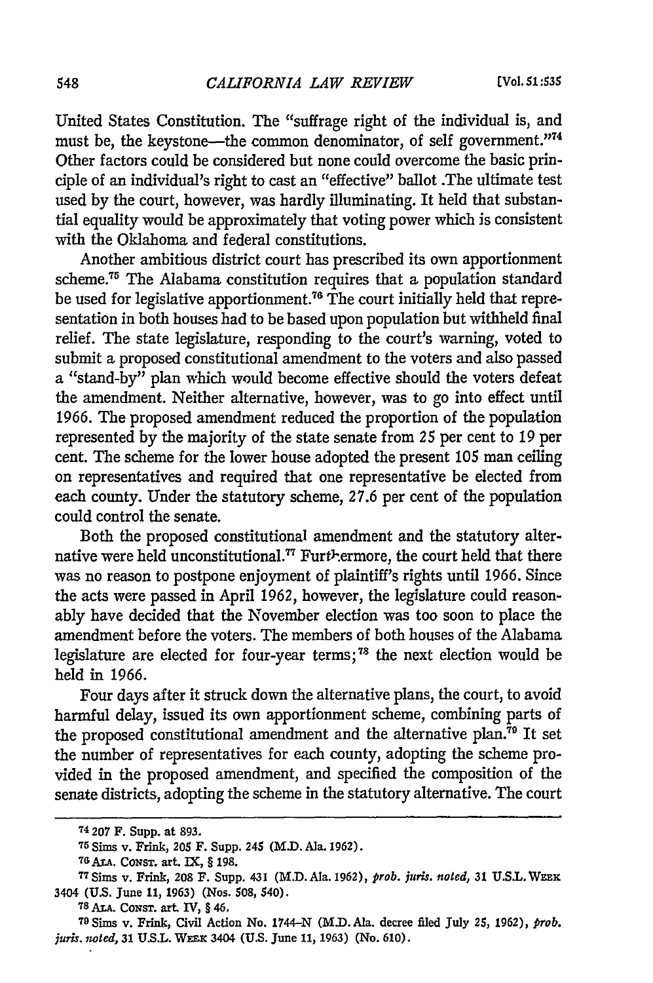United States Constitution. The "suffrage right of the individual is, and must be, the keystone—the common denominator, of self government."<sup>74</sup> Other factors could be considered but none could overcome the basic principle of an individual's right to cast an "effective" ballot .The ultimate test used by the court, however, was hardly illuminating. It held that substantial equality would be approximately that voting power which is consistent with the Oklahoma and federal constitutions.

Another ambitious district court has prescribed its own apportionment scheme.75 The Alabama constitution requires that a population standard be used for legislative apportionment **. 7** The court initially held that representation in both houses had to be based upon population but withheld final relief. The state legislature, responding to the court's warning, voted to submit a proposed constitutional amendment to the voters and also passed a "stand-by" plan which would become effective should the voters defeat the amendment. Neither alternative, however, was to go into effect until 1966. The proposed amendment reduced the proportion of the population represented by the majority of the state senate from 25 per cent to 19 per cent. The scheme for the lower house adopted the present *105* man ceiling on representatives and required that one representative be elected from each county. Under the statutory scheme, 27.6 per cent of the population could control the senate.

Both the proposed constitutional amendment and the statutory alternative were held unconstitutional.<sup>77</sup> Furt<sup>h</sup>-ermore, the court held that there was no reason to postpone enjoyment of plaintiff's rights until 1966. Since the acts were passed in April 1962, however, the legislature could reasonably have decided that the November election was too soon to place the amendment before the voters. The members of both houses of the Alabama legislature are elected for four-year terms; 78 the next election would be held in 1966.

Four days after it struck down the alternative plans, the court, to avoid harmful delay, issued its own apportionment scheme, combining parts of the proposed constitutional amendment and the alternative plan.<sup>79</sup> It set the number of representatives for each county, adopting the scheme provided in the proposed amendment, and specified the composition of the senate districts, adopting the scheme in the statutory alternative. The court

**<sup>74 207</sup> F.** Supp. **at 893. <sup>75</sup>**Sims v. Frink, **205 F.** Supp. **245 (M.D.** Ala. **1962).**

**<sup>76</sup> ALA.** CONST. **art. IX,** § **198.**

**<sup>77</sup> SiMs v. Frink, 208 F. Supp. 431 (M.D.Ala. 1962),** *prob. juris. noted,* **31 U.S.L.Wzx** 3404 (U.S. June 11, 1963) (Nos. 508, 540).<br><sup>78</sup> ALA. CONST. art. IV, § 46.<br><sup>79</sup> Sims v. Frink, Civil Action No. 1744–N (M.D. Ala. decree filed July 25, 1962), *prob.* 

*juris. noted,* **31 U.S.L. W=** 3404 **(U.S. June 11, 1963) (No. 610).**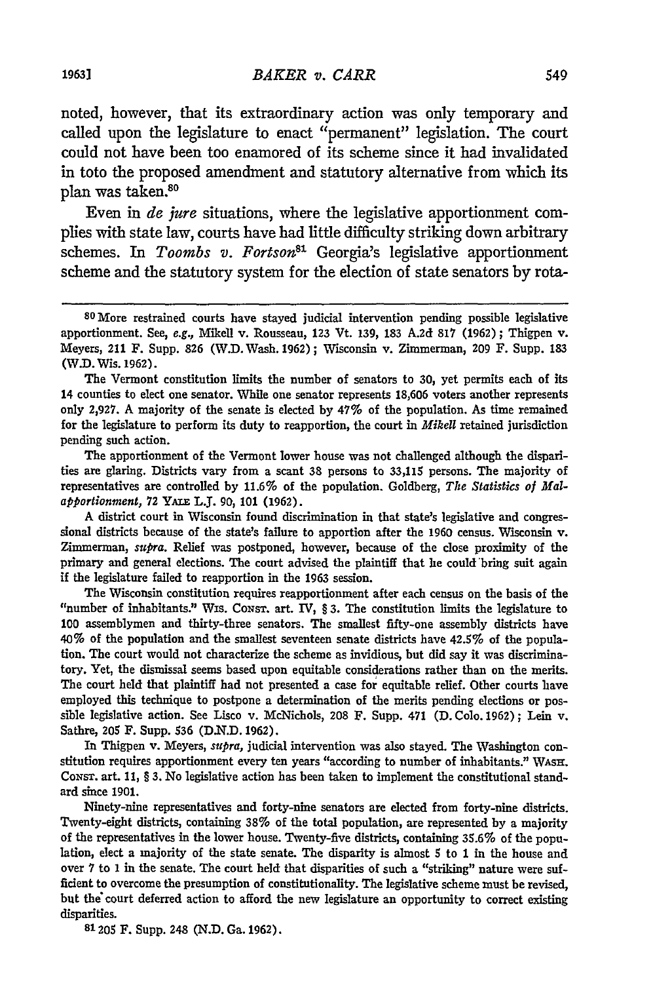noted, however, that its extraordinary action was only temporary and called upon the legislature to enact "permanent" legislation. The court could not have been too enamored of its scheme since it had invalidated in toto the proposed amendment and statutory alternative from which its plan was taken.<sup>80</sup>

Even in *de jure* situations, where the legislative apportionment complies with state law, courts have had little difficulty striking down arbitrary schemes. In *Toombs v. Fortson*<sup>81</sup> Georgia's legislative apportionment scheme and the statutory system for the election of state senators **by** rota-

The apportionment of the Vermont lower house was not challenged although the disparities are glaring. Districts vary from a scant 38 persons to 33,115 persons. The majority of representatives are controlled **by 11.6%** of the population. Goldberg, *The Statistics of Malapportionment,* **72** *Ymi* L.J. **90, 101 (1962).**

A district court in Wisconsin found discrimination in that state's legislative and congressional districts because of the state's failure to apportion after the **1960** census. Wisconsin v. Zimmerman, *supra.* Relief was postponed, however, because of the close proximity of the primary and general elections. The court advised the plaintiff that he could 'bring suit again if the legislature failed to reapportion in the 1963 session.

The Wisconsin constitution requires reapportionment after each census on the basis of the "number of inhabitants." Wis. CoNsT. art. IV, § **3.** The constitution limits the legislature to **100** assemblymen and thirty-three senators. The smallest fifty-one assembly districts have 40% of the population and the smallest seventeen senate districts have 42.5% of the population. The court would not characterize the scheme as invidious, but did say it was discriminatory. Yet, the dismissal seems based upon equitable considerations rather than on the merits. The court held that plaintiff had not presented a case for equitable relief. Other courts have employed this technique to postpone a determination of the merits pending elections or possible legislative action. See Lisco v. McNichols, 208 F. Supp. 471 **(D. Colo. 1962);** Lein v. Sathre, 205 F. Supp. 536 **(D.N.D. 1962).**

In Thigpen v. Meyers, *supra,* judicial intervention was also stayed. The Washington constitution requires apportionment every ten years "according to number of inhabitants." WAsH. CoNsr. art. **11,** § **3.** No legislative action has been taken to implement the constitutional standard since **1901.**

Ninety-nine representatives and forty-nine senators are elected from forty-nine districts. Twenty-eight districts, containing **38%** of the total population, are represented **by** a majority of the representatives in the lower house. Twenty-five districts, containing **35.6%** of the population, elect a majority of the state senate. The disparity is almost 5 to **1** in the house and over 7 to **1** in the senate. The court held that disparities of such a "striking" nature were sufficient to overcome the presumption of constitutionality. The legislative scheme must be revised, but the court deferred action to afford the new legislature an opportunity to correct existing disparities.

**81205** F. Supp. 248 **(N.D.** Ga. **1962).**

<sup>80</sup> More restrained courts have stayed judicial intervention pending possible legislative apportionment. See, *e.g.,* Mikell v. Rousseau, **123** Vt. 139, 183 A.2d 817 **(1962);** Thigpen v. Meyers, 211 F. Supp. **826** (W.D. Wash. 1962); Wisconsin v. Zimmerman, **209** F. Supp. 183 (W.D. Wis. 1962).

The Vermont constitution limits the number of senators to 30, yet permits each of its 14 counties to elect one senator. While one senator represents 18,606 voters another represents only **2,927.** A majority of the senate is elected **by** 47% of the population. As time remained for the legislature to perform its duty to reapportion, the court in *Mikell* retained jurisdiction pending such action.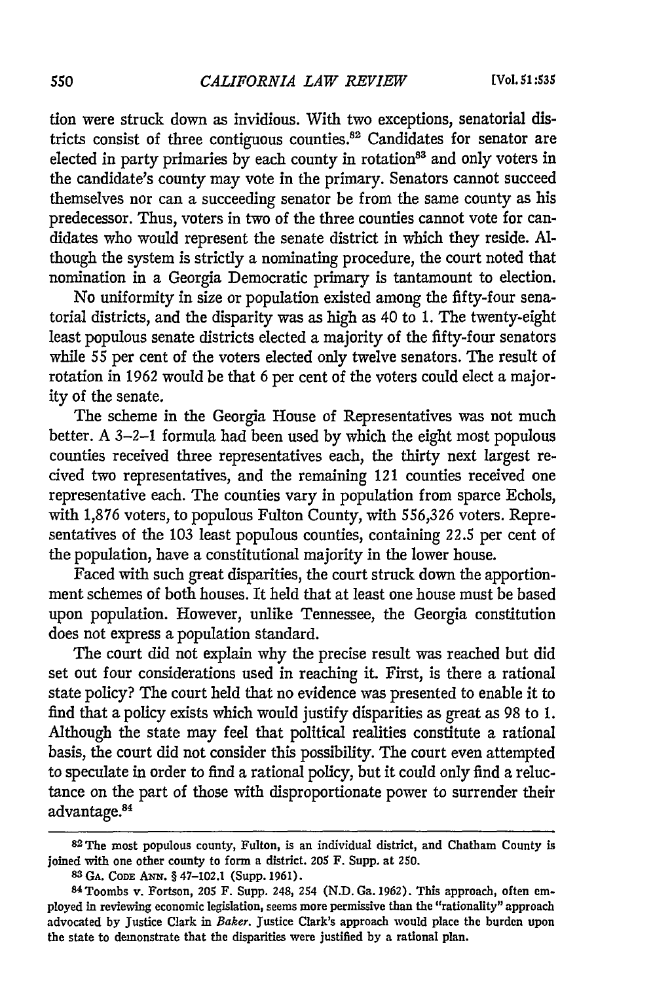tion were struck down as invidious. With two exceptions, senatorial districts consist of three contiguous counties.<sup>82</sup> Candidates for senator are elected in party primaries by each county in rotation $63$  and only voters in the candidate's county may vote in the primary. Senators cannot succeed themselves nor can a succeeding senator be from the same county as his predecessor. Thus, voters in two of the three counties cannot vote for candidates who would represent the senate district in which they reside. **Al**though the system is strictly a nominating procedure, the court noted that nomination in a Georgia Democratic primary is tantamount to election.

No uniformity in size or population existed among the fifty-four senatorial districts, and the disparity was as high as 40 to 1. The twenty-eight least populous senate districts elected a majority of the fifty-four senators while **55** per cent of the voters elected only twelve senators. The result of rotation in 1962 would be that 6 per cent of the voters could elect a majority of the senate.

The scheme in the Georgia House of Representatives was not much better. A 3-2-1 formula had been used by which the eight most populous counties received three representatives each, the thirty next largest recived two representatives, and the remaining 121 counties received one representative each. The counties vary in population from sparce Echols, with 1,876 voters, to populous Fulton County, with **556,326** voters. Representatives of the 103 least populous counties, containing **22.5** per cent of the population, have a constitutional majority in the lower house.

Faced with such great disparities, the court struck down the apportionment schemes of both houses. It held that at least one house must be based upon population. However, unlike Tennessee, the Georgia constitution does not express a population standard.

The court did not explain why the precise result was reached but did set out four considerations used in reaching it. First, is there a rational state policy? The court held that no evidence was presented to enable it to find that a policy exists which would justify disparities as great as 98 to 1. Although the state may feel that political realities constitute a rational basis, the court did not consider this possibility. The court even attempted to speculate in order to find a rational policy, but it could only find a reluctance on the part of those with disproportionate power to surrender their advantage.84

**<sup>82</sup> The** most populous county, Fulton, is an individual district, and Chatham County is joined with one other county to form a district. **205** F. Supp. at **250.**

**<sup>83</sup> GA.** CODE **ANN.** § 47-102.1 (Supp. **1961).** <sup>8</sup> <sup>4</sup> Toombs v. Fortson, **205** F. Supp. 248, 254 **(N.D.** Ga. **1962).** This approach, often employed in reviewing economic legislation, seems more permissive than the "rationality" approach advocated **by** justice Clark in Baker. Justice Clark's approach would place the burden upon the state to demonstrate that the disparities were justified **by** a rational plan.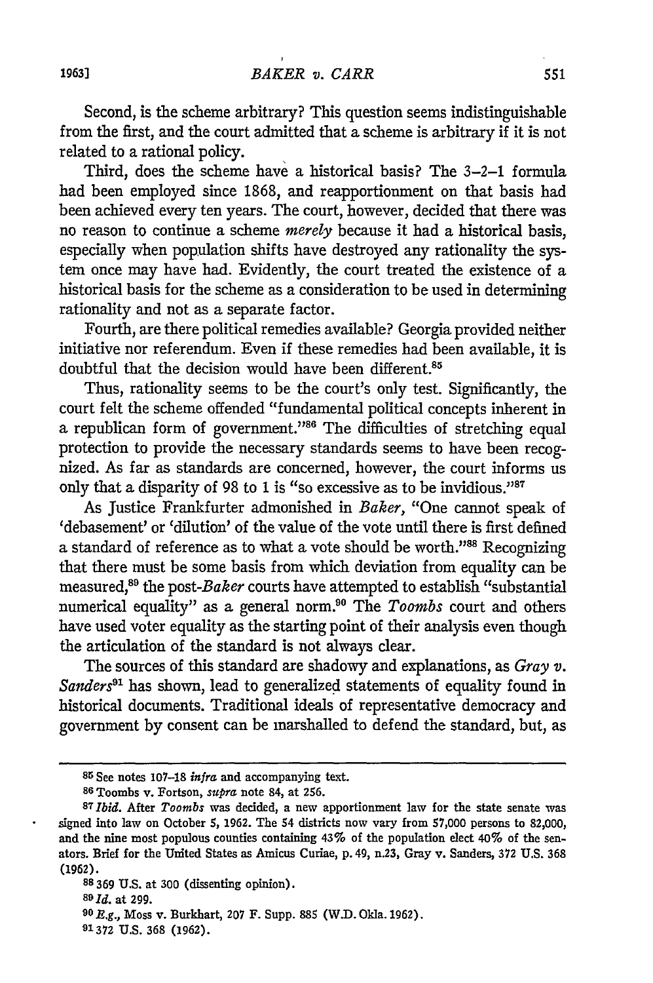Second, is the scheme arbitrary? This question seems indistinguishable from the first, and the court admitted that a scheme is arbitrary if it is not related to a rational policy.

Third, does the scheme have a historical basis? The 3-2-1 formula had been employed since 1868, and reapportionment on that basis had been achieved every ten years. The court, however, decided that there was no reason to continue a scheme *merely* because it had a historical basis, especially when population shifts have destroyed any rationality the system once may have had. Evidently, the court treated the existence of a historical basis for the scheme as a consideration to be used in determining rationality and not as a separate factor.

Fourth, are there political remedies available? Georgia provided neither initiative nor referendum. Even if these remedies had been available, it is doubtful that the decision would have been different.<sup>85</sup>

Thus, rationality seems to be the court's only test. Significantly, the court felt the scheme offended "fundamental political concepts inherent in a republican form of government."<sup>86</sup> The difficulties of stretching equal protection to provide the necessary standards seems to have been recognized. As far as standards are concerned, however, the court informs us only that a disparity of 98 to 1 is "so excessive as to be invidious."87

As Justice Frankfurter admonished in *Baker,* "One cannot speak of 'debasement' or 'dilution' of the value of the vote until there is first defined a standard of reference as to what a vote should be worth."88 Recognizing that there must be some basis from which deviation from equality can be measured,<sup>89</sup> the post-Baker courts have attempted to establish "substantial numerical equality" as a general norm.<sup>90</sup> The *Toombs* court and others have used voter equality as the starting point of their analysis even though the articulation of the standard is not always clear.

The sources of this standard are shadowy and explanations, as *Gray v.* Sanders<sup>91</sup> has shown, lead to generalized statements of equality found in historical documents. Traditional ideals of representative democracy and government by consent can be marshalled to defend the standard, but, as

**<sup>85</sup>** See notes 107-18 *infra* and accompanying text.

**<sup>86</sup>**Toombs v. Fortson, *supra* note 84, at **256.**

<sup>87</sup>*Ibid.* After *Toorbs* was decided, a new apportionment law for the state senate was signed into law on October **5,** 1962. The 54 districts now vary from 57,000 persons to 82,000, and the nine most populous counties containing 43% of the population elect 40% of the senators. Brief for the United States as Amicus Curiae, p.49, n.23, Gray v. Sanders, **372 U.S. 368** (1962).

**<sup>88</sup>** 369 **U.S.** at **300** (dissenting opinion).

**<sup>89</sup>ld.** at **299.**

**<sup>90</sup> R.g.,** Moss v. Burkbart, **207** F. Supp. **885** (W.D. Okla. 1962).

**<sup>91372</sup> U.S. 368 (1962).**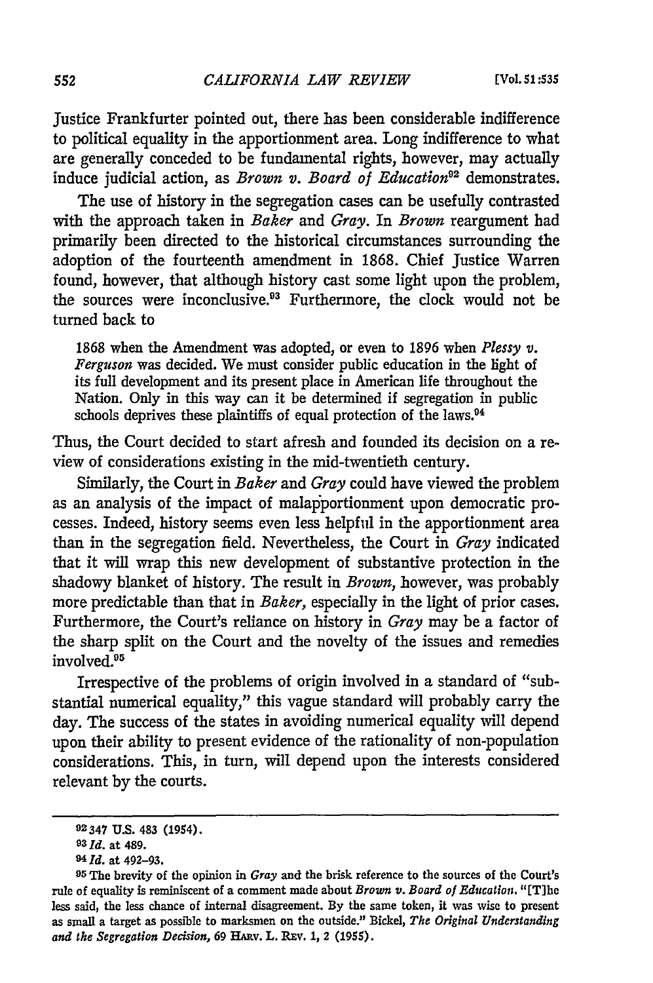Justice Frankfurter pointed out, there has been considerable indifference to political equality in the apportionment area. Long indifference to what are generally conceded to be fundamental rights, however, may actually induce judicial action, as *Brown v. Board of Education*<sup>92</sup> demonstrates.

The use of history in the segregation cases can be usefully contrasted with the approach taken in *Baker* and Gray. In *Brown* reargument had primarily been directed to the historical circumstances surrounding the adoption of the fourteenth amendment in 1868. Chief Justice Warren found, however, that although history cast some light upon the problem, the sources were inconclusive.<sup>93</sup> Furthermore, the clock would not be turned back to

1868 when the Amendment was adopted, or even to 1896 when *Plessy v. Ferguson* was decided. We must consider public education in the light of its full development and its present place in American life throughout the Nation. Only in this way can it be determined if segregation in public schools deprives these plaintiffs of equal protection of the laws.<sup>94</sup>

Thus, the Court decided to start afresh and founded its decision on a review of considerations existing in the mid-twentieth century.

Similarly, the Court in *Baker and Gray* could have viewed the problem as an analysis of the impact of malapportionment upon democratic processes. Indeed, history seems even less helpful in the apportionment area than in the segregation field. Nevertheless, the Court in *Gray* indicated that it will wrap this new development of substantive protection in the shadowy blanket of history. The result in *Brown,* however, was probably more predictable than that in *Baker,* especially in the light of prior cases. Furthermore, the Court's reliance on history in *Gray* may be a factor of the sharp split on the Court and the novelty of the issues and remedies involved.95

Irrespective of the problems of origin involved in a standard of "substantial numerical equality," this vague standard will probably carry the day. The success of the states in avoiding numerical equality will depend upon their ability to present evidence of the rationality of non-population considerations. This, in turn, will depend upon the interests considered relevant by the courts.

**<sup>92347</sup> U.S.** 483 (1954).

*<sup>9</sup> <sup>3</sup>***Id.** at 489.

*<sup>94</sup> Id.* at 492–93.<br><sup>95</sup> The brevity of the opinion in *Gray* and the brisk reference to the sources of the Court's rule of equality is reminiscent of a comment made about *Brown v. Board of Education.* "[T]he less said, the less chance of internal disagreement. By the same token, it was wise to present as small a target as possible to marksmen on the outside." Bickel, *The Original Understanding and the Segregation Decision,* 69 HAzv. L. REV. **1,** 2 **(1955).**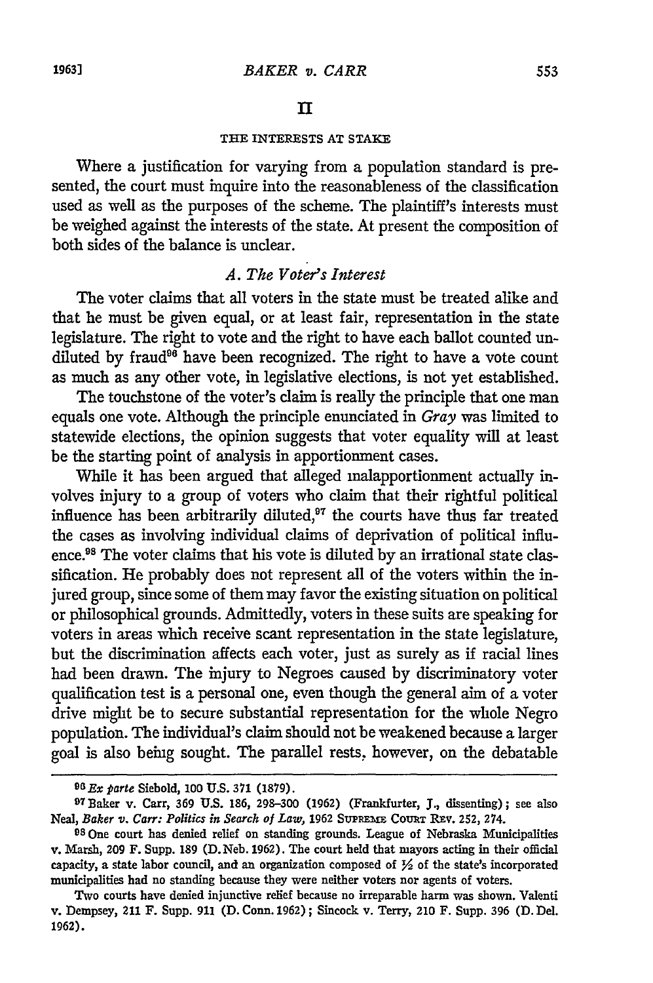#### *In*

### **THE INTERESTS AT STAKE**

Where a justification for varying from a population standard is presented, the court must inquire into the reasonableness of the classification used as well as the purposes of the scheme. The plaintiff's interests must be weighed against the interests of the state. At present the composition of both sides of the balance is unclear.

## *A. The Voter's Interest*

The voter claims that all voters in the state must be treated alike and that he must be given equal, or at least fair, representation in the state legislature. The right to vote and the right to have each ballot counted undiluted by fraud<sup>86</sup> have been recognized. The right to have a vote count as much as any other vote, in legislative elections, is not yet established.

The touchstone of the voter's claim is really the principle that one man equals one vote. Although the principle enunciated in *Gray* was limited to statewide elections, the opinion suggests that voter equality will at least be the starting point of analysis in apportionment cases.

While it has been argued that alleged malapportionment actually involves injury to a group of voters who claim that their rightful political influence has been arbitrarily diluted,<sup>97</sup> the courts have thus far treated the cases as involving individual claims of deprivation of political influence.<sup>98</sup> The voter claims that his vote is diluted by an irrational state classification. He probably does not represent all of the voters within the injured group, since some of them may favor the existing situation on political or philosophical grounds. Admittedly, voters in these suits are speaking for voters in areas which receive scant representation in the state legislature, but the discrimination affects each voter, just as surely as if racial lines had been drawn. The injury to Negroes caused **by** discriminatory voter qualification test is a personal one, even though the general aim of a voter drive might be to secure substantial representation for the whole Negro population. The individual's claim should not be weakened because a larger goal is also being sought. The parallel rests, however, on the debatable

*<sup>9</sup>GEx parte* Siebold, **100 U.S. 371 (1879).** <sup>9</sup> <sup>7</sup> Baker v. Carr, **369 U.S. 186, 298-300 (1962)** (Frankfurter, **J.,** dissenting); see also Neal, *Baker v. Carr: Politics in Search of Law*, 1962 SUPREME COURT REV. 252, 274.

**<sup>98</sup> One** court has denied relief on standing grounds. League of Nebraska Municipalities v. Marsh, **209** F. Supp. **189 (D.** Neb. **1962).** The court held that mayors acting in their official capacity, a state labor council, and an organization composed of **Y2** of the state's incorporated municipalities had no standing because they were neither voters nor agents of voters.

Two courts have denied injunctive relief because no irreparable harm was shown. Valenti v. Dempsey, 211 F. Supp. **911 (D.** Conn. **1962) ;** Sincock v. Terry, 210 F. Supp. **396 (D.** Del. **1962).**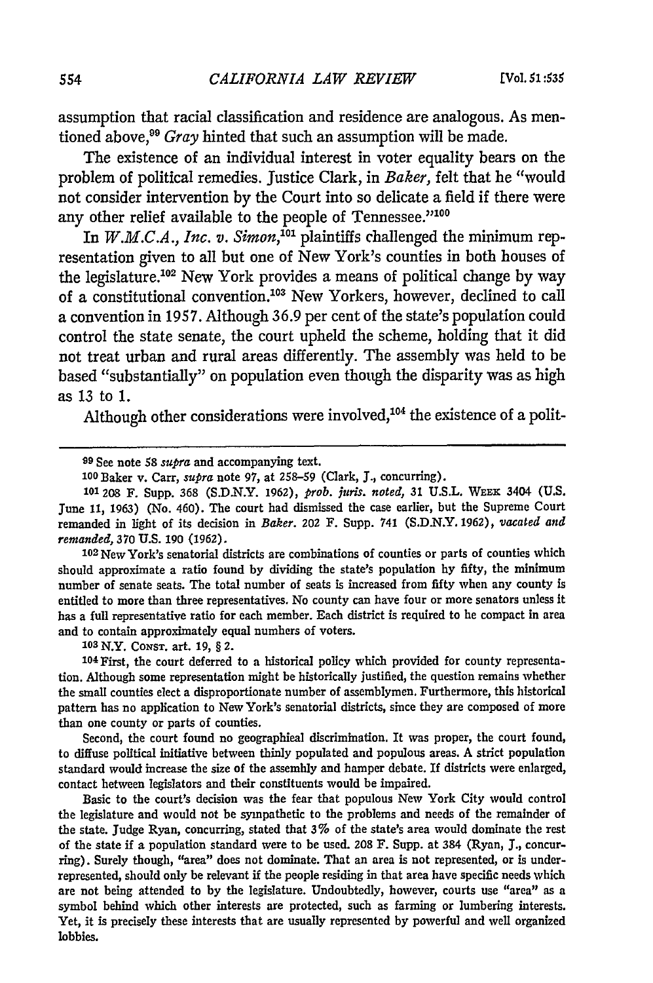assumption that racial classification and residence are analogous. As mentioned above,<sup>99</sup> *Gray* hinted that such an assumption will be made.

The existence of an individual interest in voter equality bears on the problem of political remedies. Justice Clark, in *Baker,* felt that he "would not consider intervention by the Court into so delicate a field if there were any other relief available to the people of Tennessee."100

*In W.M.C.A., Inc. v. Simon,"'0* plaintiffs challenged the minimum representation given to all but one of New York's counties in both houses of the legislature.<sup>102</sup> New York provides a means of political change by way of a constitutional convention.<sup>103</sup> New Yorkers, however, declined to call a convention in 1957. Although 36.9 per cent of the state's population could control the state senate, the court upheld the scheme, holding that it did not treat urban and rural areas differently. The assembly was held to be based "substantially" on population even though the disparity was as high as 13 to 1.

Although other considerations were involved,<sup>104</sup> the existence of a polit-

**1 <sup>0</sup> <sup>2</sup>**New York's senatorial districts are combinations of counties or parts of counties which should approximate a ratio found by dividing the state's population by fifty, the minimum number of senate seats. The total number of seats is increased from fifty when any county is entitled to more than three representatives. No county can have four or more senators unless it has a full representative ratio for each member. Each district is required to be compact in area and to contain approximately equal numbers of voters.

**10** N.Y. CONST. art. **19,** § *2.*

**104** First, the court deferred to a historical policy which provided for county representation. Although some representation might be historically justified, the question remains whether the small counties elect a disproportionate number of assemblymen. Furthermore, this historical pattern has no application to New York's senatorial districts, since they are composed of more than one county or parts of counties.

Second, the court found no geographical discrimination. It was proper, the court found, to diffuse political initiative between thinly populated and populous areas. **A** strict population standard would increase the size of the assembly and hamper debate. If districts were enlarged, contact between legislators and their constituents would be impaired.

Basic to the court's decision was the fear that populous New York City would control the legislature and would not be sympathetic to the problems and needs of the remainder of the state. judge Ryan, concurring, stated that **3%** of the state's area would dominate the rest of the state if a population standard were to be used. **208** F. Supp. at 384 (Ryan, *J.,* concurring). Surely though, "area" does not dominate. That an area is not represented, or is underrepresented, should only **be** relevant **if** the people residing in that area have specific needs which are not being attended to **by** the legislature. Undoubtedly, however, courts use "area" as **a** symbol behind which other interests are protected, such as farming or lumbering interests. Yet, it is precisely these interests that are usually represented **by** powerful and **well** organized lobbies.

**<sup>99</sup>** See note 58 *supra* and accompanying text.

**<sup>100</sup>**Baker v. Carr, *supra* note 97, at 258-59 (Clark, **J.,** concurring).

**<sup>101</sup>**208 F. Supp. 368 **(S.D.N.Y.** 1962), *prob. jnris, noted,* 31 **U.S.L.** WEEK 3404 **(U.S.** June **11,** 1963) (No. 460). The court had dismissed the case earlier, but the Supreme Court remanded in light of its decision in *Baker.* 202 F. Supp. 741 (S.D.N.Y. 1962), *vacated and remanded,* 370 **U.S.** 190 (1962).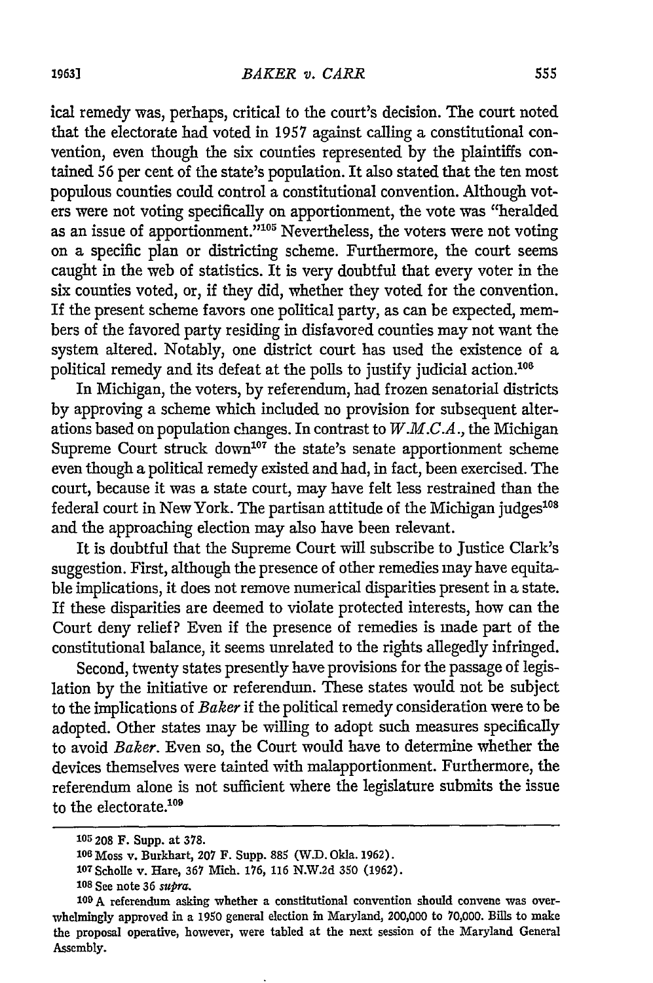ical remedy was, perhaps, critical to the court's decision. The court noted that the electorate had voted in 1957 against calling a constitutional convention, even though the six counties represented by the plaintiffs contained 56 per cent of the state's population. It also stated that the ten most populous counties could control a constitutional convention. Although voters were not voting specifically on apportionment, the vote was "heralded as an issue of apportionment."<sup>105</sup> Nevertheless, the voters were not voting on a specific plan or districting scheme. Furthermore, the court seems caught in the web of statistics. It is very doubtful that every voter in the six counties voted, or, if they did, whether they voted for the convention. If the present scheme favors one political party, as can be expected, members of the favored party residing in disfavored counties may not want the system altered. Notably, one district court has used the existence of a political remedy and its defeat at the polls to justify judicial action.<sup>108</sup>

In Michigan, the voters, by referendum, had frozen senatorial districts by approving a scheme which included no provision for subsequent alterations based on population changes. In contrast to *W.M.C.A.,* the Michigan Supreme Court struck down<sup>107</sup> the state's senate apportionment scheme even though a political remedy existed and had, in fact, been exercised. The court, because it was a state court, may have felt less restrained than the federal court in New York. The partisan attitude of the Michigan judges $^{108}$ and the approaching election may also have been relevant.

It is doubtful that the Supreme Court will subscribe to Justice Clark's suggestion. First, although the presence of other remedies may have equitable implications, it does not remove numerical disparities present in a state. If these disparities are deemed to violate protected interests, how can the Court deny relief? Even if the presence of remedies is made part of the constitutional balance, it seems unrelated to the rights allegedly infringed.

Second, twenty states presently have provisions for the passage of legislation by the initiative or referendum. These states would not be subject to the implications of *Baker* if the political remedy consideration were to be adopted. Other states may be willing to adopt such measures specifically to avoid *Baker.* Even so, the Court would have to determine whether the devices themselves were tainted with malapportionment. Furthermore, the referendum alone is not sufficient where the legislature submits the issue to the electorate.  $\!\!^{109}$ 

**<sup>105 208</sup>** F. Supp. at **378.**

**<sup>106</sup>**Moss v. Burkhart, **207** F. Supp. **889** (W.D. Okla. **1962).**

<sup>1</sup> <sup>0</sup> T Scholle v. Hare, **367** Mich. **176, 116** N.W.2d **350 (1962).**

<sup>108</sup> See note 36 supra.

<sup>109</sup> A referendum asking whether a constitutional convention should convene was overwhelmingly approved in a 1950 general election in Maryland, 200,000 to **70,000.** Bills to make the proposal operative, however, were tabled at the next session of the Maryland General Assembly.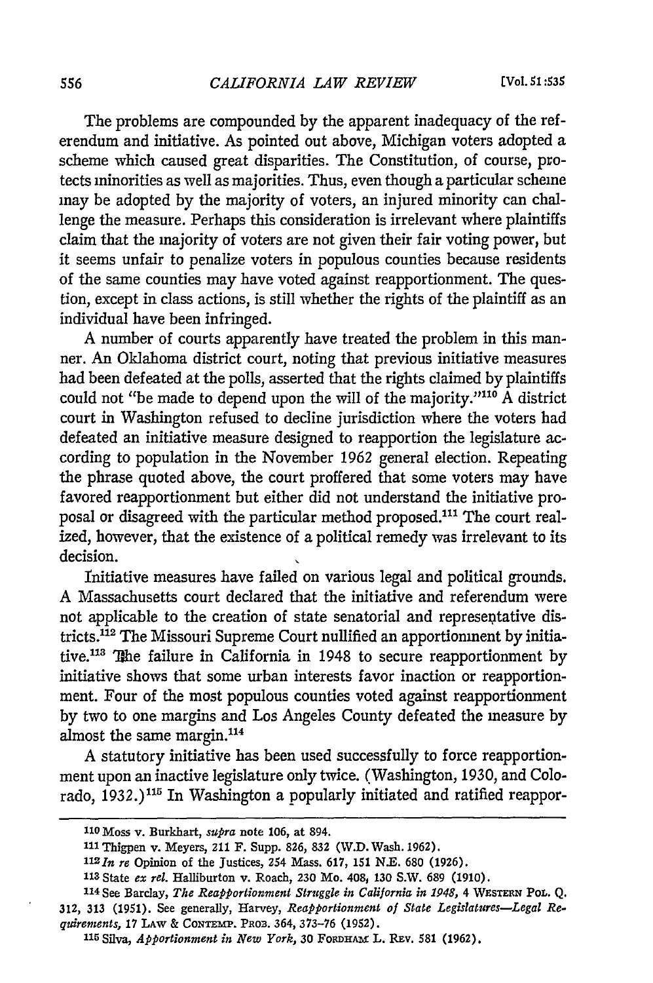The problems are compounded by the apparent inadequacy of the referendum and initiative. As pointed out above, Michigan voters adopted a scheme which caused great disparities. The Constitution, of course, protects minorities as well as majorities. Thus, even though a particular scheme may be adopted by the majority of voters, an injured minority can challenge the measure. Perhaps this consideration is irrelevant where plaintiffs claim that the majority of voters are not given their fair voting power, but it seems unfair to penalize voters in populous counties because residents of the same counties may have voted against reapportionment. The question, except in class actions, is still whether the rights of the plaintiff as an individual have been infringed.

A number of courts apparently have treated the problem in this manner. An Oklahoma district court, noting that previous initiative measures had been defeated at the polls, asserted that the rights claimed by plaintiffs could not "be made to depend upon the will of the majority."<sup>110</sup> A district court in Washington refused to decline jurisdiction where the voters had defeated an initiative measure designed to reapportion the legislature according to population in the November 1962 general election. Repeating the phrase quoted above, the court proffered that some voters may have favored reapportionment but either did not understand the initiative proposal or disagreed with the particular method proposed.<sup>111</sup> The court realized, however, that the existence of a political remedy was irrelevant to its decision.

Initiative measures have failed on various legal and political grounds. A Massachusetts court declared that the initiative and referendum were not applicable to the creation of state senatorial and represeptative districts.<sup>112</sup> The Missouri Supreme Court nullified an apportionment by initiative.<sup>113</sup> The failure in California in 1948 to secure reapportionment by initiative shows that some urban interests favor inaction or reapportionment. Four of the most populous counties voted against reapportionment by two to one margins and Los Angeles County defeated the measure by almost the same margin.<sup>114</sup>

A statutory initiative has been used successfully to force reapportionment upon an inactive legislature only twice. (Washington, 1930, and Colorado, 1932.)<sup>115</sup> In Washington a popularly initiated and ratified reappor-

**<sup>110</sup>**Moss **v.** Burkhart, *supra* note **106,** at **894.**

**<sup>111</sup>**Thigpen v. Meyers, 211 F. Supp. **826, 832** (W.D. Wash. **1962).**

**<sup>112</sup>In** *re* Opinion **of** the Justices, **254** Mass. **617, 151 N.E. 680 (1926).**

**<sup>113</sup>** State *ex rel.* Halliburton v. Roach, **230** Mo. 408, **130** S.W. 689 **(1910).**

<sup>114</sup> See Barclay, *The Reapportionment Struggle in California in 1948*, 4 WESTERN PoL. Q. **312, 313** (1951). **See** generally, Harvey, *Reapportionment of State Legislatures-Legal Requirements,* **17 LAW & CONTEmp.** PROB. 364, **373-76 (1952).**

**<sup>115</sup>**Silva, *Apportionment in New York,* **30 FoDAm L.** REv. **581 (1962).**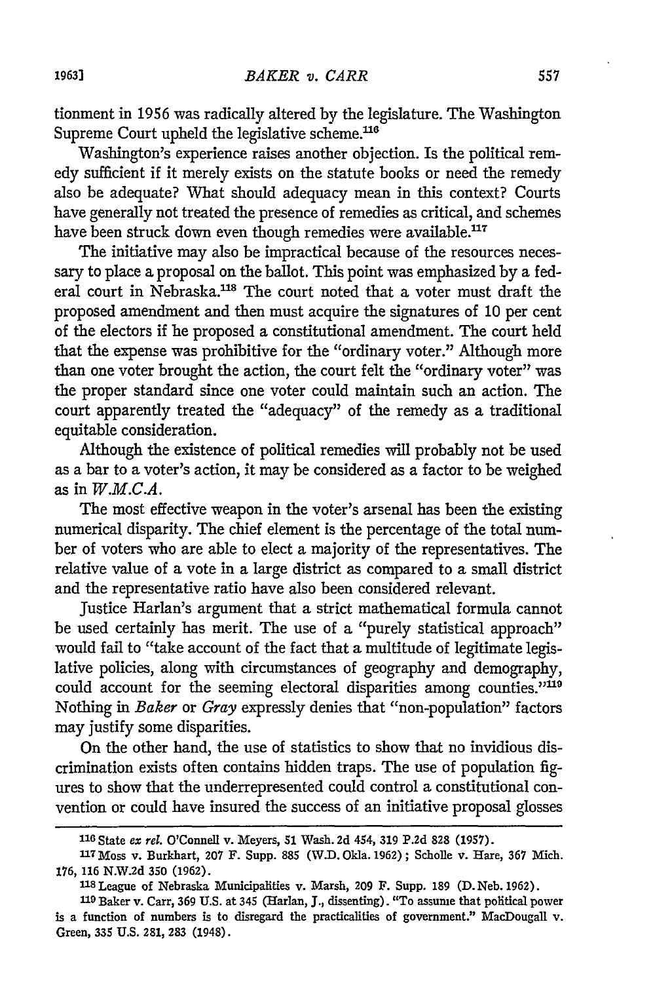tionment in 1956 was radically altered by the legislature. The Washington Supreme Court upheld the legislative scheme.<sup>116</sup>

Washington's experience raises another objection. Is the political remedy sufficient if it merely exists on the statute books or need the remedy also be adequate? What should adequacy mean in this context? Courts have generally not treated the presence of remedies as critical, and schemes have been struck down even though remedies were available.<sup>117</sup>

The initiative may also be impractical because of the resources necessary to place a proposal on the ballot. This point was emphasized by a federal court in Nebraska.<sup>118</sup> The court noted that a voter must draft the proposed amendment and then must acquire the signatures of 10 per cent of the electors if he proposed a constitutional amendment. The court held that the expense was prohibitive for the "ordinary voter." Although more than one voter brought the action, the court felt the "ordinary voter" was the proper standard since one voter could maintain such an action. The court apparently treated the "adequacy" of the remedy as a traditional equitable consideration.

Although the existence of political remedies will probably not be used as a bar to a voter's action, it may be considered as a factor to be weighed as in *W.M.C.A.*

The most effective weapon in the voter's arsenal has been the existing numerical disparity. The chief element is the percentage of the total number of voters who are able to elect a majority of the representatives. The relative value of a vote in a large district as compared to a small district and the representative ratio have also been considered relevant.

Justice Harlan's argument that a strict mathematical formula cannot be used certainly has merit. The use of a "purely statistical approach" would fail to "take account of the fact that a multitude of legitimate legislative policies, along with circumstances of geography and demography, could account for the seeming electoral disparities among counties."<sup>119</sup> Nothing in *Baker* or *Gray* expressly denies that "non-population" factors may justify some disparities.

On the other hand, the use of statistics to show that no invidious discrimination exists often contains hidden traps. The use of population figures to show that the underrepresented could control a constitutional convention or could have insured the success of an initiative proposal glosses

**<sup>116</sup>**State *ex rel.* O'Connell v. Meyers, **51** Wash. 2d 454, **319 P.2d 828 (1957).**

**<sup>117</sup> Moss** v. Burkhart, **207** F. Supp. **885** (W.D. Okla. **1962);** Scholie v. Hare, **367** Mich. **176,** 116 N.W.2d 350 (1962).

**<sup>118</sup>** League of Nebraska Municipalities v. Marsh, 209 F. Supp. 189 **(D.** Neb. 1962).

**<sup>119</sup>**Baker v. Carr, 369 U.S. at 345 (Harlan, J., dissenting). "To assume that political power is a function of numbers is to disregard the practicalities of government." MacDougall v. Green, 335 U.S. 281, 283 (1948).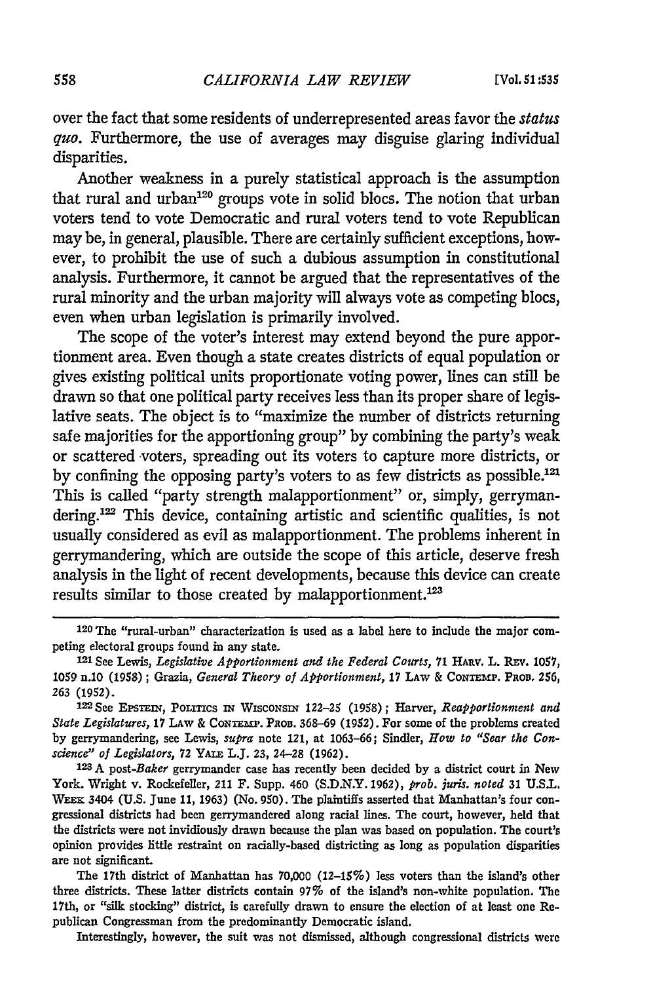over the fact that some residents of underrepresented areas favor the *status quo.* Furthermore, the use of averages may disguise glaring individual disparities.

Another weakness in a purely statistical approach is the assumption that rural and urban<sup>120</sup> groups vote in solid blocs. The notion that urban voters tend to vote Democratic and rural voters tend to vote Republican may be, in general, plausible. There are certainly sufficient exceptions, however, to prohibit the use of such a dubious assumption in constitutional analysis. Furthermore, it cannot be argued that the representatives of the rural minority and the urban majority will always vote as competing blocs, even when urban legislation is primarily involved.

The scope of the voter's interest may extend beyond the pure apportionment area. Even though a state creates districts of equal population or gives existing political units proportionate voting power, lines can still be drawn so that one political party receives less than its proper share of legislative seats. The object is to "maximize the number of districts returning safe majorities for the apportioning group" by combining the party's weak or scattered voters, spreading out its voters to capture more districts, or by confining the opposing party's voters to as few districts as possible.<sup>121</sup> This is called "party strength malapportionment" or, simply, gerrymandering.<sup>122</sup> This device, containing artistic and scientific qualities, is not usually considered as evil as malapportionment. The problems inherent in gerrymandering, which are outside the scope of this article, deserve fresh analysis in the light of recent developments, because this device can create results similar to those created by malapportionment.<sup>123</sup>

Interestingly, however, the suit was not dismissed, although congressional districts were

**<sup>120</sup>** The "rural-urban" characterization is used as a label here to include the major competing electoral groups found in any state.

<sup>121</sup> **See** Lewis, *Legislative Apportionment and the Federal Courts,* **71 HARv. L.** Rav. **1057, 1059** n.10 **(1958);** Grazia, *General Theory of Apportionment,* **17** LAW **& CONTEMP. PROD.** 256, **263** (1952).

**I=2** See EPsTEIN, **PoLrIcs IN WISCONSIN** 122-25 (1958); Harver, *Reapportionment and State Legislatures,* **17 LAW & CONTEMa'. PROS.** 368-69 **(1952).** For some of the problems created by gerrymandering, see Lewis, *supra* note 121, at 1063-66; Sindler, *How to "Sear the Conscience" of Legislators, 72 YALE L.J. 23, 24–28 (1962). 23, 24–28 (2012)* **2008 2008 22** *23* A post-*Baker* gerrymander case has recently been decided by a district court in New

York. Wright v. Rockefeller, 211 F. Supp. 460 (S.D.N.Y. 1962), *prob. juris. noted* 31 U.S.L. **WEEK** 3404 **(U.S.** June 11, 1963) (No. 950). The plaintiffs asserted that Manhattan's four congressional districts had been gerrymandered along racial lines. The court, however, held that the districts were not invidiously drawn because the plan was based on population. The court's opinion provides little restraint on racially-based districting as long as population disparities are not significant.

The 17th district of Manhattan has 70,000 (12-15%) less voters than the island's other three districts. These latter districts contain **97%** of the island's non-white population. The 17th, or "silk stocking" district, is carefully drawn to ensure the election of at least one Republican Congressman from the predominantly Democratic island.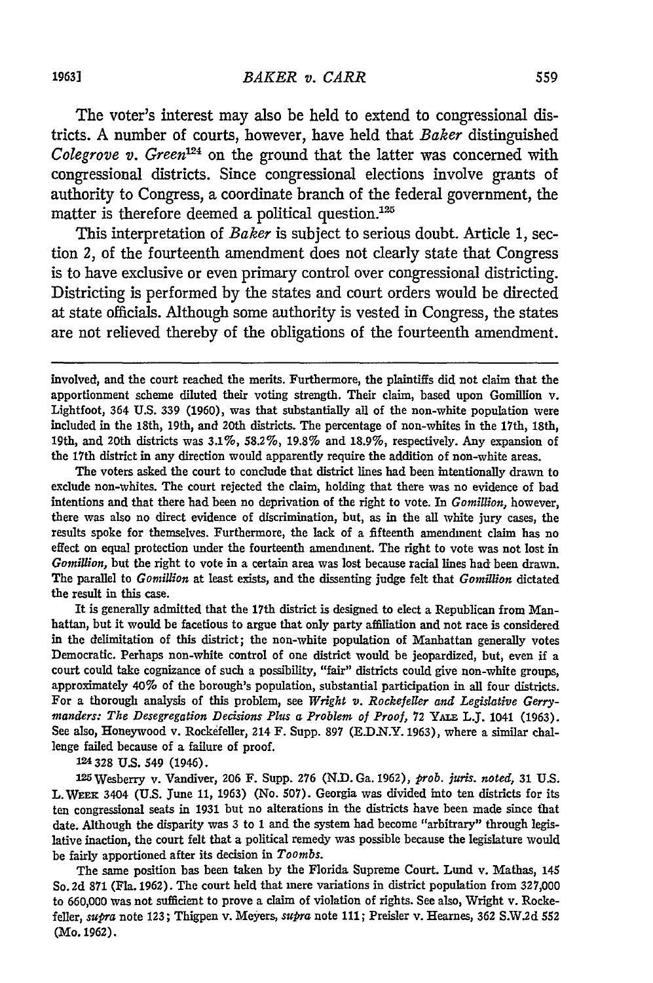The voter's interest may also be held to extend to congressional districts. A number of courts, however, have held that *Baker* distinguished *Colegrove v. Green*<sup>124</sup> on the ground that the latter was concerned with congressional districts. Since congressional elections involve grants of authority to Congress, a coordinate branch of the federal government, the matter is therefore deemed a political question.<sup>125</sup>

This interpretation of *Baker* is subject to serious doubt. Article *1,* section *2,* of the fourteenth amendment does not clearly state that Congress is to have exclusive or even primary control over congressional districting. Districting is performed by the states and court orders would be directed at state officials. Although some authority is vested in Congress, the states are not relieved thereby of the obligations of the fourteenth amendment.

The voters asked the court to conclude that district lines **had** been intentionally drawn to exclude non-whites. The court rejected the claim, holding that there was no evidence of bad intentions and that there had been no deprivation of the right to vote. In *Gomillion,* however, there was also no direct evidence of discrimination, but, as in the all white jury cases, the results spoke for themselves. Furthermore, the lack of a fifteenth amendment claim has no effect on equal protection under the fourteenth amendment. The right to vote was not lost in *Gomillion,* but the right to vote in a certain area was lost because racial lines had been drawn. The parallel to *Gomillion* at least exists, and the dissenting judge felt that *Gomillion* dictated the result in this case.

It is generally admitted that the 17th district is designed to elect a Republican from Manhattan, but it would be facetious to argue that only party affiliation and not race is considered in the delimitation of this district; the non-white population of Manhattan generally votes Democratic. Perhaps non-white control of one district would be jeopardized, but, even **if** a court could take cognizance of such a possibility, "fair" districts could give non-white groups, approximately 40% of the borough's population, substantial participation in all four districts. For a thorough analysis of this problem, see *Wright v. Rockefeller and Legislative Gerrymanders: The Desegregation Decisions Plus a Problem of Proof,* **72 YAIE** L.J. 1041 **(1963).** See also, Honeywood v. Rockefeller, 214 F. Supp. **897 (E.D.N.Y. 1963),** where a similar challenge failed because of a failure of proof.

**124 328 U.S.** 549 (1946).

<sup>2</sup> <sup>5</sup> Wesberry v. Vandiver, **206** F. Supp. **276 (N.D.** Ga. **1962),** *prob. juris. noted,* **31 U.S.** L. **WEEK** 3404 **(U.S.** June **11, 1963)** (No. **507).** Georgia was divided into ten districts for its ten congressional seats in **1931** but no alterations in the districts have been made since that date. Although the disparity was 3 to **1** and the system had become "arbitrary" through legislative inaction, the court felt that a political remedy was possible because the legislature would be fairly apportioned after its decision in *Toombs.*

The same position has been taken **by** the Florida Supreme Court. Lund v. Mathas, 145 So. **2d 871** (Fla. **1962).** The court held that mere variations in district population from **327,000** to **660,000** was not sufficient to prove a claim of violation of rights. See also, Wright v. Rockefeller, *supra* note **123;** Thigpen v. Meyers, *sura* note **111;** Preisler v. Hearnes, 362 **S.W.2d** <sup>552</sup> (Mo. **1962).**

involved, and the court reached the merits. Furthermore, the plaintiffs did not claim that the apportionment scheme diluted their voting strength. Their claim, based upon Gomillion v. Lightfoot, 364 **U.S. 339 (1960),** was that substantially all of the non-white population were included in the 18th, 19th, and 20th districts. The percentage of non-whites in the 17th, 18th, 19th, and 20th districts was **3.1%, 58.2%, 19.8%** and **18.9%,** respectively. Any expansion of the 17th district in any direction would apparently require the addition of non-white areas.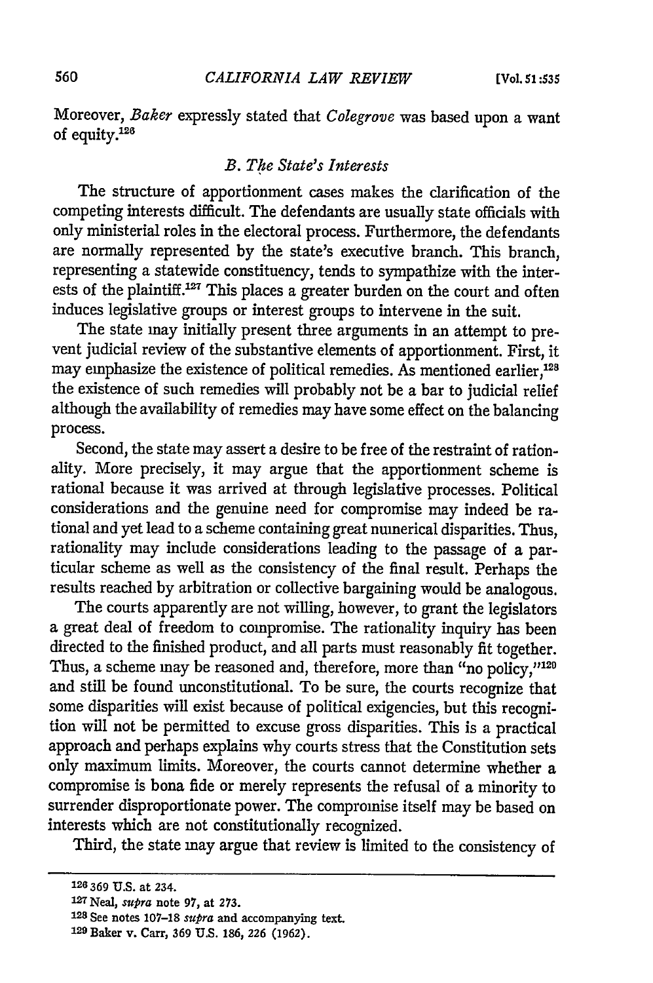Moreover, *Baker* expressly stated that *Colegrove* was based upon a want of equity.<sup>126</sup>

### *B. The State's Interests*

The structure of apportionment cases makes the clarification of the competing interests difficult. The defendants are usually state officials with only ministerial roles in the electoral process. Furthermore, the defendants are normally represented by the state's executive branch. This branch, representing a statewide constituency, tends to sympathize with the interests of the plaintiff.<sup>127</sup> This places a greater burden on the court and often induces legislative groups or interest groups to intervene in the suit.

The state may initially present three arguments in an attempt to prevent judicial review of the substantive elements of apportionment. First, it may emphasize the existence of political remedies. As mentioned earlier,<sup>128</sup> the existence of such remedies will probably not be a bar to judicial relief although the availability of remedies may have some effect on the balancing process.

Second, the state may assert a desire to be free of the restraint of rationality. More precisely, it may argue that the apportionment scheme is rational because it was arrived at through legislative processes. Political considerations and the genuine need for compromise may indeed be rational and yet lead to a scheme containing great numerical disparities. Thus, rationality may include considerations leading to the passage of a particular scheme as well as the consistency of the final result. Perhaps the results reached by arbitration or collective bargaining would be analogous.

The courts apparently are not willing, however, to grant the legislators a great deal of freedom to compromise. The rationality inquiry has been directed to the finished product, and all parts must reasonably fit together. Thus, a scheme may be reasoned and, therefore, more than "no policy,"120 and still be found unconstitutional. To be sure, the courts recognize that some disparities will exist because of political exigencies, but this recognition will not be permitted to excuse gross disparities. This is a practical approach and perhaps explains why courts stress that the Constitution sets only maximum limits. Moreover, the courts cannot determine whether a compromise is bona fide or merely represents the refusal of a minority to surrender disproportionate power. The compromise itself may be based on interests which are not constitutionally recognized.

Third, the state may argue that review is limited to the consistency of

**<sup>126</sup>**369 **U.S.** at 234. <sup>12</sup> <sup>7</sup>Neal, *supra* note **97,** at **273.**

**<sup>128</sup>** See notes 107-18 *supra* and accompanying text.

**<sup>129</sup>** Baker v. Carr, 369 U.S. 186, **226** (1962).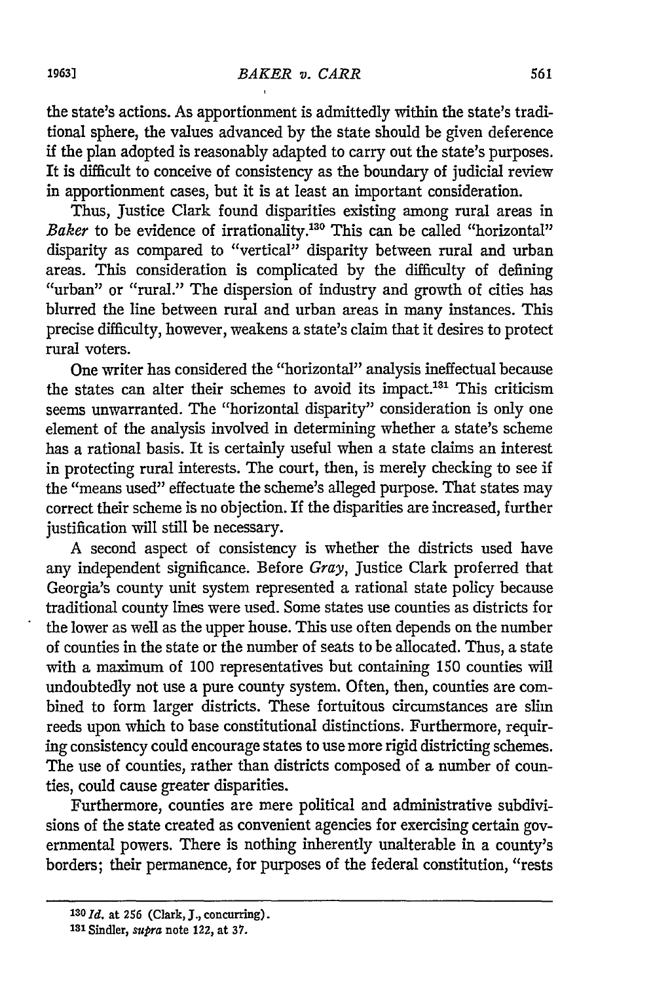the state's actions. As apportionment is admittedly within the state's traditional sphere, the values advanced by the state should be given deference if the plan adopted is reasonably adapted to carry out the state's purposes. It is difficult to conceive of consistency as the boundary of judicial review in apportionment cases, but it is at least an important consideration.

Thus, Justice Clark found disparities existing among rural areas in Baker to be evidence of irrationality.<sup>130</sup> This can be called "horizontal" disparity as compared to "vertical" disparity between rural and urban areas. This consideration is complicated by the difficulty of defining "urban" or "rural." The dispersion of industry and growth of cities has blurred the line between rural and urban areas in many instances. This precise difficulty, however, weakens a state's claim that it desires to protect rural voters.

One writer has considered the "horizontal" analysis ineffectual because the states can alter their schemes to avoid its impact.<sup>131</sup> This criticism seems unwarranted. The "horizontal disparity" consideration is only one element of the analysis involved in determining whether a state's scheme has a rational basis. It is certainly useful when a state claims an interest in protecting rural interests. The court, then, is merely checking to see if the "means used" effectuate the scheme's alleged purpose. That states may correct their scheme is no objection. If the disparities are increased, further justification will still be necessary.

A second aspect of consistency is whether the districts used have any independent significance. Before *Gray,* Justice Clark proferred that Georgia's county unit system represented a rational state policy because traditional county lines were used. Some states use counties as districts for the lower as well as the upper house. This use often depends on the number of counties in the state or the number of seats to be allocated. Thus, a state with a maximum of 100 representatives but containing 150 counties will undoubtedly not use a pure county system. Often, then, counties are combined to form larger districts. These fortuitous circumstances are slim reeds upon which to base constitutional distinctions. Furthermore, requiring consistency could encourage states to use more rigid districting schemes. The use of counties, rather than districts composed of a number of counties, could cause greater disparities.

Furthermore, counties are mere political and administrative subdivisions of the state created as convenient agencies for exercising certain governmental powers. There is nothing inherently unalterable in a county's borders; their permanence, for purposes of the federal constitution, "rests

*<sup>130</sup> Id.* at **256** (Clark, **J.,** concurring).

**<sup>131</sup>**Sinder, *supra* note 122, at **37.**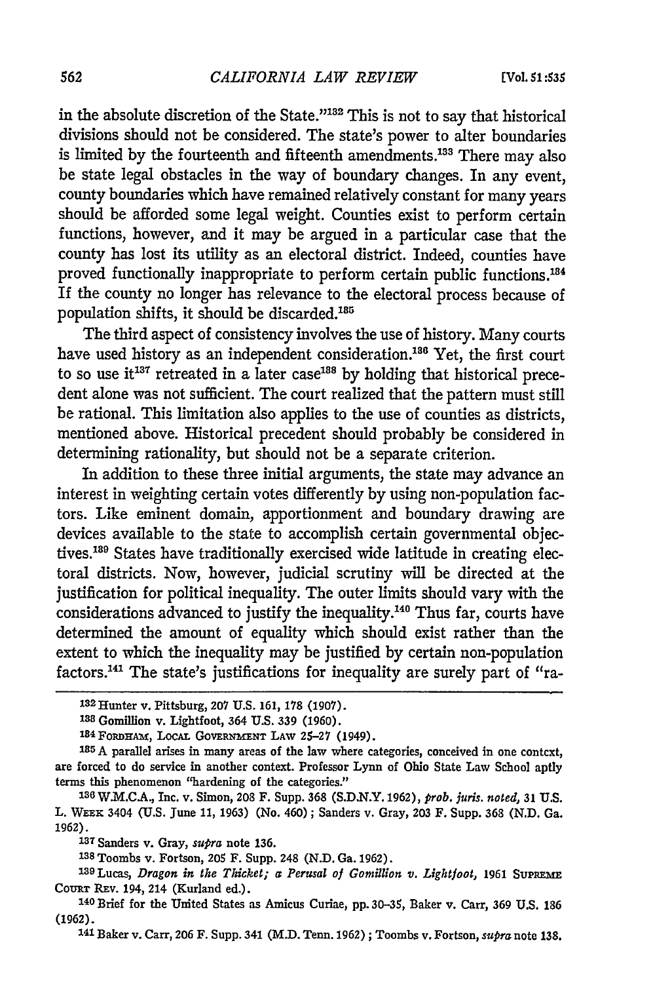in the absolute discretion of the State."<sup>132</sup> This is not to say that historical divisions should not be considered. The state's power to alter boundaries is limited by the fourteenth and fifteenth amendments.<sup>133</sup> There may also be state legal obstacles in the way of boundary changes. In any event, county boundaries which have remained relatively constant for many years should be afforded some legal weight. Counties exist to perform certain functions, however, and it may be argued in a particular case that the county has lost its utility as an electoral district. Indeed, counties have proved functionally inappropriate to perform certain public functions. <sup>184</sup> If the county no longer has relevance to the electoral process because of population shifts, it should be discarded.<sup>185</sup>

The third aspect of consistency involves the use of history. Many courts have used history as an independent consideration.<sup>186</sup> Yet, the first court to so use it<sup>137</sup> retreated in a later case<sup>188</sup> by holding that historical precedent alone was not sufficient. The court realized that the pattern must still be rational. This limitation also applies to the use of counties as districts, mentioned above. Historical precedent should probably be considered in determining rationality, but should not be a separate criterion.

In addition to these three initial arguments, the state may advance an interest in weighting certain votes differently by using non-population factors. Like eminent domain, apportionment and boundary drawing are devices available to the state to accomplish certain governmental objectives.<sup>189</sup> States have traditionally exercised wide latitude in creating electoral districts. Now, however, judicial scrutiny will be directed at the justification for political inequality. The outer limits should vary with the considerations advanced to justify the inequality.<sup>140</sup> Thus far, courts have determined the amount of equality which should exist rather than the extent to which the inequality may be justified by certain non-population factors.<sup>141</sup> The state's justifications for inequality are surely part of "ra-

**137** Sanders v. Gray, *supra* note **136.**

**1 <sup>38</sup>**Toombs v. Fortson, 205 F. Supp. 248 **(N.D.** Ga. **1962).**

**<sup>141</sup>**Baker v. Carr, **206** F. Supp. 341 (M.D. Tenn. 1962) **;** Toombs v. Fortson, *supra* note **138.**

**<sup>132</sup>**Hunter v. Pittsburg, **207 U.S. 161, 178 (1907).**

**<sup>133</sup>**Gomillion v. Lightfoot, 364 U.S. **339** (1960).

<sup>1</sup> <sup>34</sup>FoRwHAm, LocAL **GOVERNMENT** LAW 25-27 (1949).

**<sup>&#</sup>x27; <sup>8</sup> 5** A parallel arises in many areas of the law where categories, conceived in one context, are forced to do service in another context. Professor Lynn of Ohio State Law School aptly terms this phenomenon "hardening of the categories."

**<sup>136</sup>**W.M.CA., Inc. v. Simon, 208 F. Supp. **368** (S.D.N.Y. 1962), *prob. juris. noted,* **31** U.S. L. WEEx 3404 (U.S. June 11, **1963)** (No. 460); Sanders v. Gray, **203** F. Supp. **368 (N.D.** Ga. 1962).

<sup>139</sup> Lucas, *Dragon in the Thicket; a Perusal of Gomillion v. Lightfoot,* 1961 SUPREME **COURT** REV. 194, 214 (Kurland ed.).

**<sup>140</sup>** Brief for the United States as Amicus Curiae, pp. 30-35, Baker v. Carr, **369** U.S. **186 (1962).**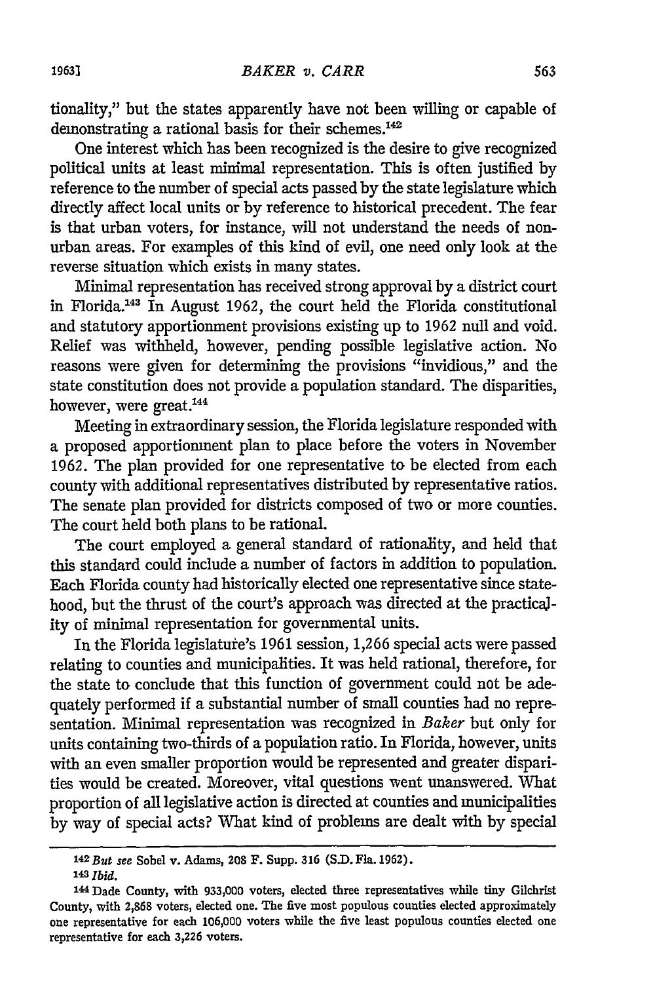tionality," but the states apparently have not been willing or capable of demonstrating a rational basis for their schemes.<sup>142</sup>

One interest which has been recognized is the desire to give recognized political units at least minimal representation. This is often justified by reference to the number of special acts passed by the state legislature which directly affect local units or by reference to historical precedent. The fear is that urban voters, for instance, will not understand the needs of nonurban areas. For examples of this kind of evil, one need only look at the reverse situation which exists in many states.

Minimal representation has received strong approval by a district court in Florida.'43 In August 1962, the court held the Florida constitutional and statutory apportionment provisions existing up to 1962 null and void. Relief was withheld, however, pending possible legislative action. No reasons were given for determining the provisions "invidious," and the state constitution does not provide a population standard. The disparities, however, were great.<sup>144</sup>

Meeting in extraordinary session, the Florida legislature responded with a proposed apportionment plan to place before the voters in November 1962. The plan provided for one representative to be elected from each county with additional representatives distributed by representative ratios. The senate plan provided for districts composed of two or more counties. The court held both plans to be rational.

The court employed a general standard of rationality, and held that this standard could include a number of factors in addition to population. Each Florida county had historically elected one representative since statehood, but the thrust of the court's approach was directed at the practicality of minimal representation for governmental units.

In the Florida legislature's 1961 session, 1,266 special acts were passed relating to counties and municipalities. It was held rational, therefore, for the state to conclude that this function of government could not be adequately performed if a substantial number of small counties had no representation. Minimal representation was recognized in *Baker* but only for units containing two-thirds of a population ratio. In Florida, however, units with an even smaller proportion would be represented and greater disparities would be created. Moreover, vital questions went unanswered. What proportion of all legislative action is directed at counties and municipalities by way of special acts? What kind of problems are dealt with by special

*<sup>142</sup>But see* Sobel v. Adams, 208 F. Supp. **316 (S.D.** Fla. 1962). 143 **Ibid.**

**<sup>144</sup>** Dade County, with 933,000 voters, elected three representatives while tiny Gilchrist County, with 2,868 voters, elected one. The five most populous counties elected approximately one representative for each 106,000 voters while the five least populous counties elected one representative for each **3,226** voters.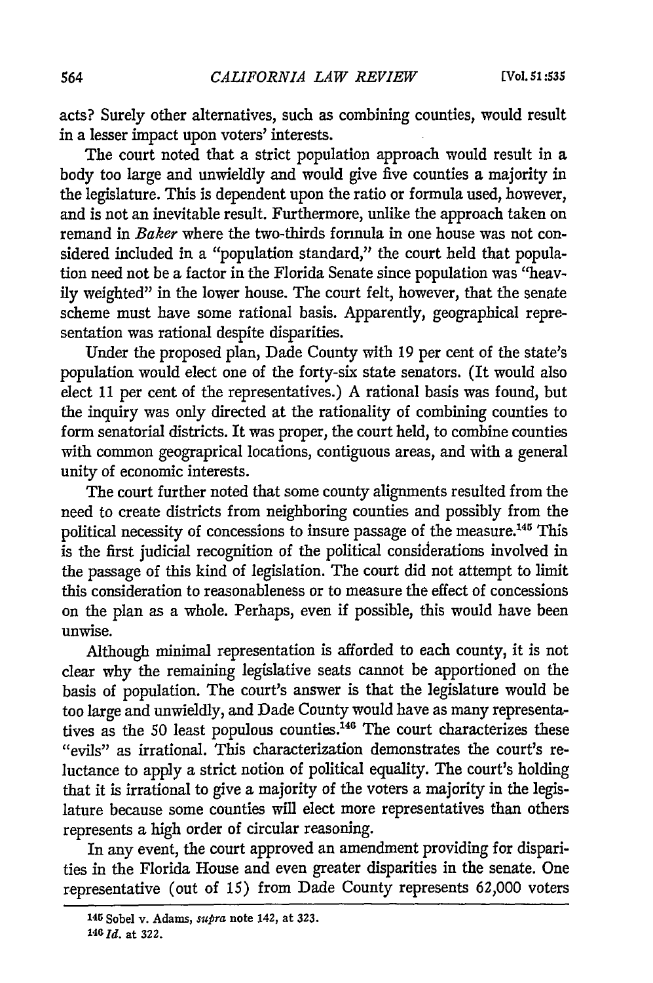acts? Surely other alternatives, such as combining counties, would result in a lesser impact upon voters' interests.

The court noted that a strict population approach would result in a body too large and unwieldly and would give five counties a majority in the legislature. This is dependent upon the ratio or formula used, however, and is not an inevitable result. Furthermore, unlike the approach taken on remand in *Baker* where the two-thirds formula in one house was not considered included in a "population standard," the court held that population need not be a factor in the Florida Senate since population was "heavily weighted" in the lower house. The court felt, however, that the senate scheme must have some rational basis. Apparently, geographical representation was rational despite disparities.

Under the proposed plan, Dade County with 19 per cent of the state's population would elect one of the forty-six state senators. (It would also elect 11 per cent of the representatives.) A rational basis was found, but the inquiry was only directed at the rationality of combining counties to form senatorial districts. It was proper, the court held, to combine counties with common geograprical locations, contiguous areas, and with a general unity of economic interests.

The court further noted that some county alignments resulted from the need to create districts from neighboring counties and possibly from the political necessity of concessions to insure passage of the measure.145 This is the first judicial recognition of the political considerations involved in the passage of this kind of legislation. The court did not attempt to limit this consideration to reasonableness or to measure the effect of concessions on the plan as a whole. Perhaps, even if possible, this would have been unwise.

Although minimal representation is afforded to each county, it is not clear why the remaining legislative seats cannot be apportioned on the basis of population. The court's answer is that the legislature would be too large and unwieldly, and Dade County would have as many representatives as the 50 least populous counties.<sup>146</sup> The court characterizes these "evils" as irrational. This characterization demonstrates the court's reluctance to apply a strict notion of political equality. The court's holding that it is irrational to give a majority of the voters a majority in the legislature because some counties will elect more representatives than others represents a high order of circular reasoning.

In any event, the court approved an amendment providing for disparities in the Florida House and even greater disparities in the senate. One representative (out of 15) from Dade County represents 62,000 voters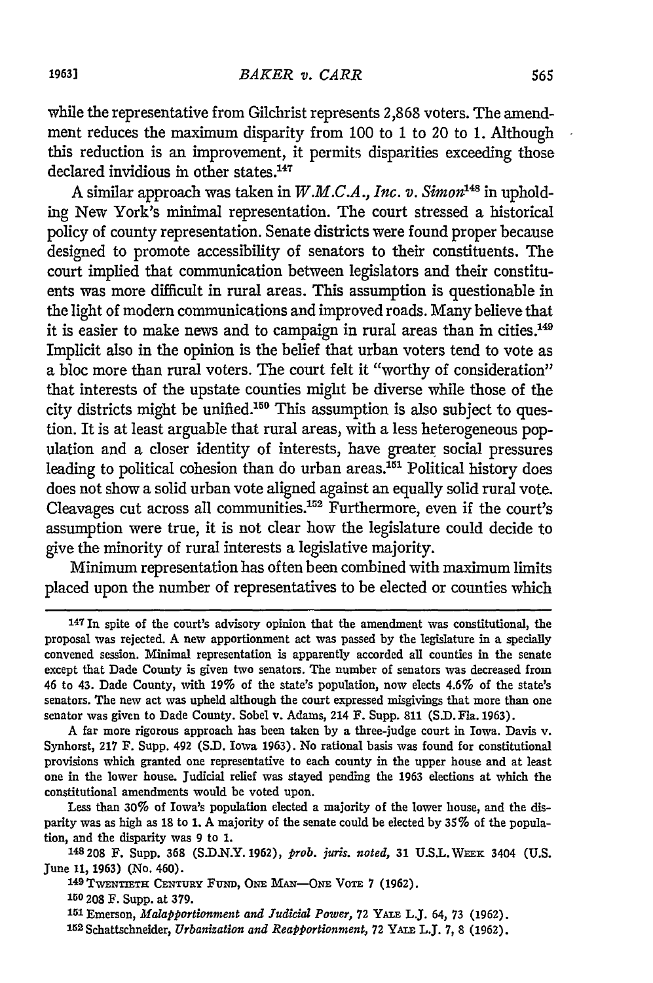while the representative from Gilchrist represents 2,868 voters. The amendment reduces the maximum disparity from **100** to 1 to 20 to 1. Although this reduction is an improvement, it permits disparities exceeding those declared invidious in other states.<sup>147</sup>

A similar approach was taken in  $W.M.C.A., Inc. v. Simon<sup>148</sup>$  in upholding New York's minimal representation. The court stressed a historical policy of county representation. Senate districts were found proper because designed to promote accessibility of senators to their constituents. The court implied that communication between legislators and their constituents was more difficult in rural areas. This assumption is questionable in the light of modern communications and improved roads. Many believe that it is easier to make news and to campaign in rural areas than in cities.<sup>149</sup> Implicit also in the opinion is the belief that urban voters tend to vote as a bloc more than rural voters. The court felt it "worthy of consideration" that interests of the upstate counties might be diverse while those of the city districts might be unified.150 This assumption is also subject to question. It is at least arguable that rural areas, with a less heterogeneous population and a closer identity of interests, have greater social pressures leading to political cohesion than do urban areas.<sup>151</sup> Political history does does not show a solid urban vote aligned against an equally solid rural vote. Cleavages cut across all communities.<sup>152</sup> Furthermore, even if the court's assumption were true, it is not clear how the legislature could decide to give the minority of rural interests a legislative majority.

Minimum representation has often been combined with maximum limits placed upon the number of representatives to be elected or counties which

Less than **30%** of Iowa's population elected a majority of the lower house, and the disparity was as high as **18** to **1.** A majority of the senate could be elected by **35%** of the population, and the disparity was **9** to **1.**

**150 208** F. Supp. at **379.**

<sup>.&</sup>lt;br><sup>147</sup> In spite of the court's advisory opinion that the amendment was constitutional, the proposal was rejected. A new apportionment act was passed by the legislature in a specially convened session. Minimal representation is apparently accorded all counties in the senate except that Dade County is given two senators. The number of senators was decreased from 46 to 43. Dade County, with **19%** of the state's population, now elects 4.6% of the state's senators. The new act was upheld although the court expressed misgivings that more than one senator was given to Dade County. Sobel v. Adams, 214 F. Supp. **811** (S.D.Fla. **1963).**

**A** far more rigorous approach has been taken by a three-judge court in Iowa. Davis v. Synhorst, 217 F. Supp. 492 (S.D. Iowa 1963). No rational basis was found for constitutional provisions which granted one representative to each county in the upper house and at least one in the lower house. Judicial relief was stayed pending the **1963** elections at which the constitutional amendments would be voted upon.

**<sup>148208</sup>** F. Supp. **368** (S.D.N.Y. 1962), *prob. juris. noted,* 31 U.S.L.WEE: 3404 (U.S. June **11, 1963)** (No. 460). **<sup>14</sup> 9 TWENTIETH CENTURY FUmD, ONE MAN--ONE** VoTE **7 (1962).**

**<sup>151</sup>** Emerson, *Malapportionment and Judicial Power,* **72** YA.E L.J. 64, **73 (1962).**

<sup>&#</sup>x27; <sup>52</sup> Schattschneider, *Urbanization and Reapportionment,* **72** YAix **L.J. 7,** 8 **(1962).**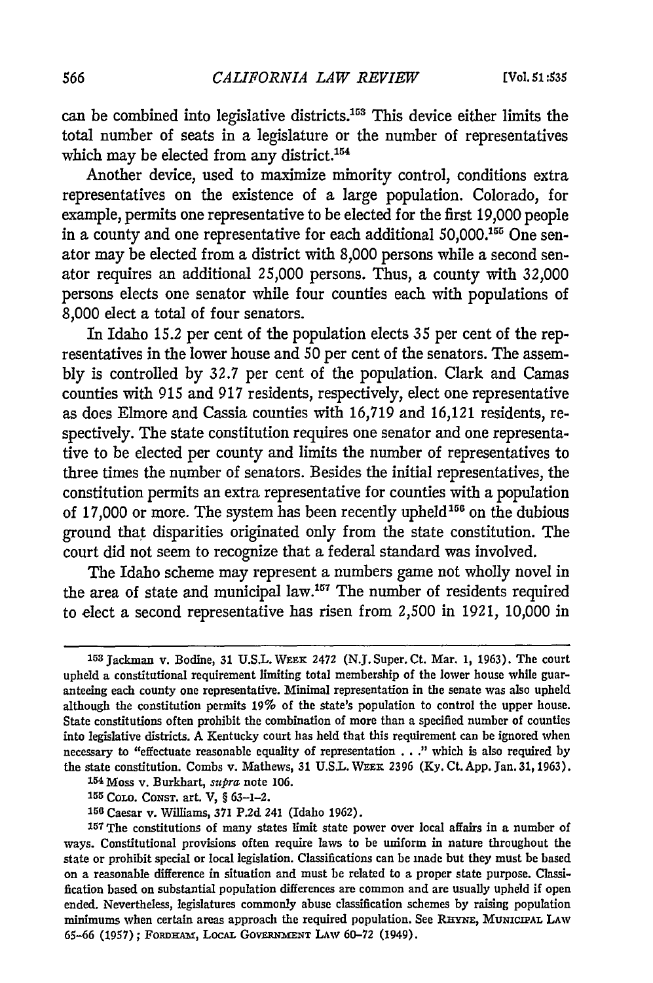can be combined into legislative districts.<sup>153</sup> This device either limits the total number of seats in a legislature or the number of representatives which may be elected from any district.<sup>154</sup>

Another device, used to maximize minority control, conditions extra representatives on the existence of a large population. Colorado, for example, permits one representative to be elected for the first 19,000 people in a county and one representative for each additional 50,000.155 One senator may be elected from a district with 8,000 persons while a second senator requires an additional 25,000 persons. Thus, a county with 32,000 persons elects one senator while four counties each with populations of 8,000 elect a total of four senators.

In Idaho 15.2 per cent of the population elects 35 per cent of the representatives in the lower house and 50 per cent of the senators. The assembly is controlled by 32.7 per cent of the population. Clark and Camas counties with 915 and 917 residents, respectively, elect one representative as does Elmore and Cassia counties with 16,719 and 16,121 residents, respectively. The state constitution requires one senator and one representative to be elected per county and limits the number of representatives to three times the number of senators. Besides the initial representatives, the constitution permits an extra representative for counties with a population of 17,000 or more. The system has been recently upheld<sup>156</sup> on the dubious ground that disparities originated only from the state constitution. The court did not seem to recognize that a federal standard was involved.

The Idaho scheme may represent a numbers game not wholly novel in the area of state and municipal law.<sup>157</sup> The number of residents required to elect a second representative has risen from 2,500 in 1921, 10,000 in

**154** Moss v. Burkhart, supra note **106.**

**<sup>155</sup>**CoLo. CoNsT. art. V, § 63-1-2.

**<sup>153</sup>**Jackman v. Bodine, 31 **U.S.L. WEEE** 2472 **(N.J.** Super. Ct. Mar. **1, 1963).** The court upheld a constitutional requirement limiting total membership of the lower house while guaranteeing each county one representative. Minimal representation in the senate was also upheld although the constitution permits **19%** of the state's population to control the upper house. State constitutions often prohibit the combination of more than a specified number of counties into legislative districts. A Kentucky court has held that this requirement can be ignored when necessary to "effectuate reasonable equality of representation . . ." which is also required **by** the state constitution. Combs v. Mathews, **31 U.S.L.** WEEK **2396 (Ky.** Ct. **App.** Jan. 31, **1963).**

<sup>156</sup>Caesar v. Williams, 371 P.2d 241 (Idaho 1962). **<sup>15</sup> <sup>7</sup>**The constitutions of many states limit state power over local affairs in a number of ways. Constitutional provisions often require laws to be uniform in nature throughout the state or prohibit special or local legislation. Classifications can be made but they must be based on a reasonable difference in situation and must be related to a proper state purpose. Classification based on substantial population differences are common and are usually upheld if open ended. Nevertheless, legislatures commonly abuse classification schemes by raising population minimums when certain areas approach the required population. See RHYNE, MUNICIPAL LAW **65-66 (1957);** FoRDAm, LocAL **GOVEMrMENT** LAW **60-72 (1949).**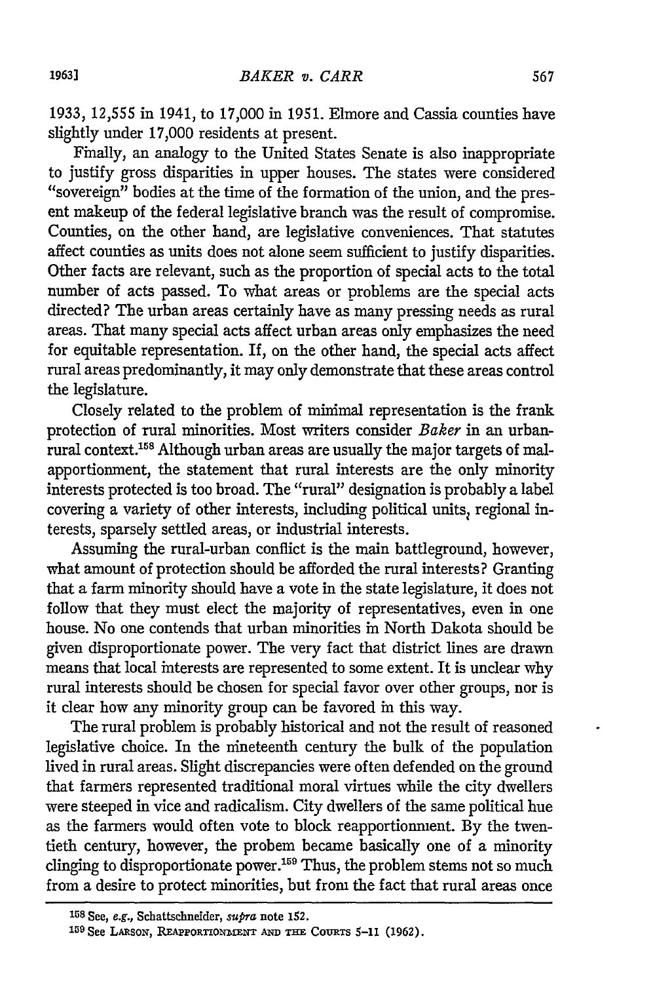1933, 12,555 in 1941, to 17,000 in 1951. Elmore and Cassia counties have slightly under 17,000 residents at present.

Finally, an analogy to the United States Senate is also inappropriate to justify gross disparities in upper houses. The states were considered "sovereign" bodies at the time of the formation of the union, and the present makeup of the federal legislative branch was the result of compromise. Counties, on the other hand, are legislative conveniences. That statutes affect counties as units does not alone seem sufficient to justify disparities. Other facts are relevant, such as the proportion of special acts to the total number of acts passed. To what areas or problems are the special acts directed? The urban areas certainly have as many pressing needs as rural areas. That many special acts affect urban areas only emphasizes the need for equitable representation. If, on the other hand, the special acts affect rural areas predominantly, it may only demonstrate that these areas control the legislature.

Closely related to the problem of minimal representation is the frank protection of rural minorities. Most writers consider *Baker* in an urban- $\stackrel{\text{\rm \bf1}}{\text{\rm \bf1}}$  context.<sup>158</sup> Although urban areas are usually the major targets of malapportionment, the statement that rural interests are the only minority interests protected is too broad. The "rural" designation is probably a label covering a variety of other interests, including political units, regional interests, sparsely settled areas, or industrial interests.

Assuming the rural-urban conflict is the main battleground, however, what amount of protection should be afforded the rural interests? Granting that a farm minority should have a vote in the state legislature, it does not follow that they must elect the majority of representatives, even in one house. No one contends that urban minorities in North Dakota should be given disproportionate power. The very fact that district lines are drawn means that local interests are represented to some extent. It is unclear why rural interests should be chosen for special favor over other groups, nor is it clear how any minority group can be favored in this way.

The rural problem is probably historical and not the result of reasoned legislative choice. In the nineteenth century the bulk of the population lived in rural areas. Slight discrepancies were often defended on the ground that farmers represented traditional moral virtues while the city dwellers were steeped in vice and radicalism. City dwellers of the same political hue as the farmers would often vote to block reapportionment. By the twentieth century, however, the probem became basically one of a minority clinging to disproportionate power.<sup>159</sup> Thus, the problem stems not so much from a desire to protect minorities, but from the fact that rural areas once

**<sup>158</sup>** See, e.g., Schattschneider, supra note 152.

**<sup>1</sup> <sup>5</sup> <sup>9</sup>** See LAsoN, **REAPPORTIOxITmNT AND THnE** CouRTs **5-11** (1962).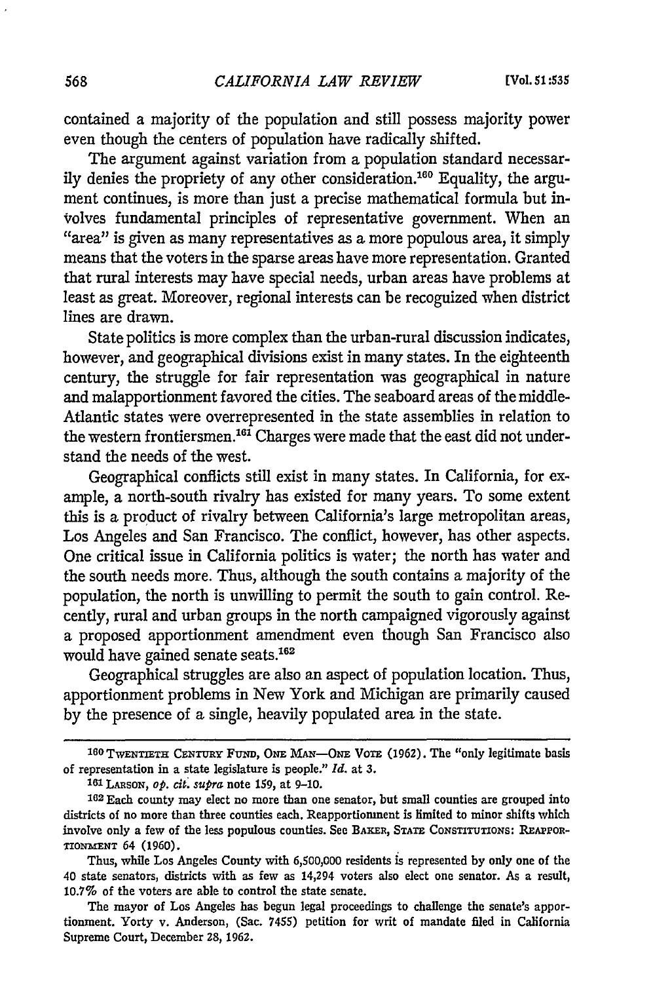contained a majority of the population and still possess majority power even though the centers of population have radically shifted.

The argument against variation from a population standard necessarily denies the propriety of any other consideration.16 Equality, the argument continues, is more than just a precise mathematical formula but involves fundamental principles of representative government. When an "area" is given as many representatives as a more populous area, it simply means that the voters in the sparse areas have more representation. Granted that rural interests may have special needs, urban areas have problems at least as great. Moreover, regional interests can be recoguized when district lines are drawn.

State politics is more complex than the urban-rural discussion indicates, however, and geographical divisions exist in many states. In the eighteenth century, the struggle for fair representation was geographical in nature and malapportionment favored the cities. The seaboard areas of the middle-Atlantic states were overrepresented in the state assemblies in relation to the western frontiersmen.<sup>161</sup> Charges were made that the east did not understand the needs of the west.

Geographical conflicts still exist in many states. In California, for example, a north-south rivalry has existed for many years. To some extent this is a product of rivalry between California's large metropolitan areas, Los Angeles and San Francisco. The conflict, however, has other aspects. One critical issue in California politics is water; the north has water and the south needs more. Thus, although the south contains a majority of the population, the north is unwilling to permit the south to gain control. Recently, rural and urban groups in the north campaigned vigorously against a proposed apportionment amendment even though San Francisco also would have gained senate seats.<sup>162</sup>

Geographical struggles are also an aspect of population location. Thus, apportionment problems in New York and Michigan are primarily caused by the presence of a single, heavily populated area in the state.

**<sup>160</sup>TWENTIETH CENTURY** *FuNin, ONE MAN-ONE* VoTE (1962). The "only legitimate basis of representation in a state legislature is people." *Id.* at **3.**

**<sup>1</sup> <sup>6</sup> 1 LARSoN,** *op. cit.* supra note **159,** at **9-10.**

**<sup>162</sup>** Each county may elect no more than one senator, but small counties are grouped into districts of no more than three counties each. Reapportionment is limited to minor shifts which involve only a few of the less populous counties. See BAKER, STATE CONSTITUTIONS: REAPPOR-TIONZIENT 64 **(1960).**

Thus, while Los Angeles County with 6,500,000 residents is represented by only one of the 40 state senators, districts with as few as 14,294 voters also elect one senator. As a result, 10.7% of the voters are able to control the state senate.

The mayor of Los Angeles has begun legal proceedings to challenge the senate's apportionment. Yorty v. Anderson, (Sac. 7455) petition for writ of mandate filed in California Supreme Court, December **28, 1962.**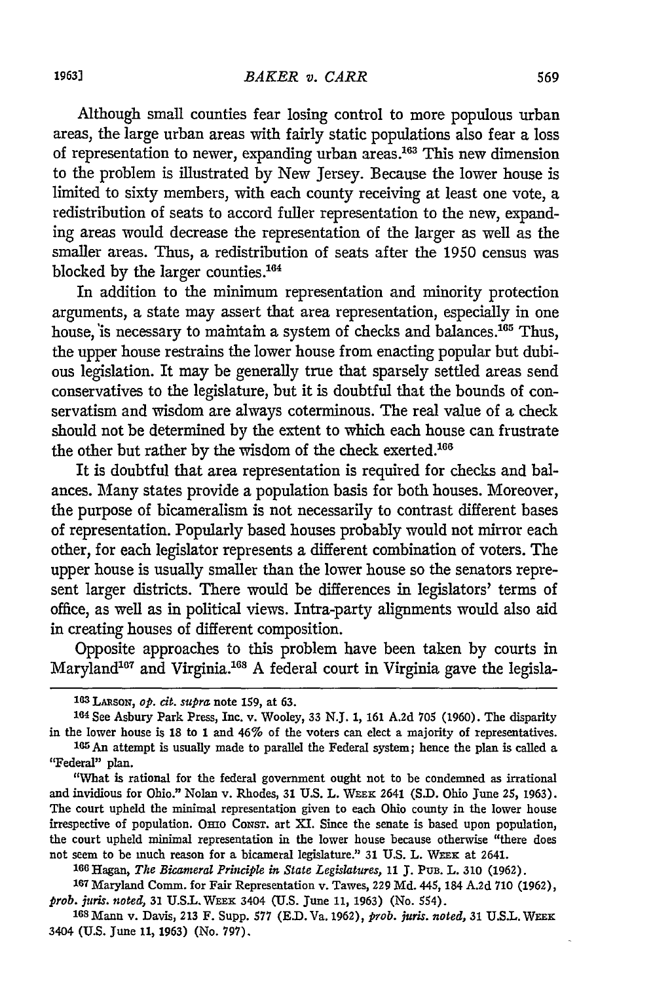Although small counties fear losing control to more populous urban areas, the large urban areas with fairly static populations also fear a loss of representation to newer, expanding urban areas.163 This new dimension to the problem is illustrated by New Jersey. Because the lower house is limited to sixty members, with each county receiving at least one vote, a redistribution of seats to accord fuller representation to the new, expanding areas would decrease the representation of the larger as well as the smaller areas. Thus, a redistribution of seats after the 1950 census was blocked by the larger counties. <sup>164</sup>

In addition to the minimum representation and minority protection arguments, a state may assert that area representation, especially in one house, is necessary to maintain a system of checks and balances.<sup>165</sup> Thus, the upper house restrains the lower house from enacting popular but dubious legislation. It may be generally true that sparsely settled areas send conservatives to the legislature, but it is doubtful that the bounds of conservatism and wisdom are always coterminous. The real value of a check should not be determined by the extent to which each house can frustrate the other but rather by the wisdom of the check exerted.<sup>166</sup>

It is doubtful that area representation is required for checks and balances. Many states provide a population basis for both houses. Moreover, the purpose of bicameralism is not necessarily to contrast different bases of representation. Popularly based houses probably would not mirror each other, for each legislator represents a different combination of voters. The upper house is usually smaller than the lower house so the senators represent larger districts. There would be differences in legislators' terms of office, as well as in political views. Intra-party alignments would also aid in creating houses of different composition.

Opposite approaches to this problem have been taken by courts in Maryland<sup>167</sup> and Virginia.<sup>168</sup> A federal court in Virginia gave the legisla-

' <sup>6</sup> <sup>6</sup> Hagan, *The Bicameral Principle in State Legislatures,* **11 J. PuB.** L. **310** (1962).

**<sup>167</sup>**Maryland Comm. for Fair Representation v. Tawes, 229 Md. 445, 184 A.2d 710 (1962), *prob. juris. noted,* **31 U.S.L.** WEFX 3404 **(U.S.** June **11, 1963)** (No. 554).

**168** Mann v. Davis, 213 F. Supp. **577** (E.D.Va. 1962), *prob. juris. noted,* **31** U.S.L. WEK 3404 (U.S. June **11, 1963)** (No. **797).**

**<sup>13</sup> LARSON,** *op. cit. supra* note **159,** at **63.**

**<sup>164</sup>**See Asbury Park Press, Inc. v. Wooley, **33** N.J. 1, 161 **A.2d 705** (1960). The disparity in the lower house is 18 to 1 and 46% of the voters can elect a majority of representatives. 105An attempt is usually made to parallel the Federal system; hence the plan is called a

<sup>&</sup>quot;Federal" plan.

<sup>&</sup>quot;What is rational for the federal government ought not to be condemned as irrational and invidious for Ohio." Nolan v. Rhodes, **31** U.S. L. **WEEx** 2641 **(S.D.** Ohio June **25,** 1963). The court upheld the minimal representation given to each Ohio county in the lower house irrespective of population. Orno CoNsT. art XI. Since the senate is based upon population, the court upheld minimal representation in the lower house because otherwise "there does not seem to be much reason for a bicameral legislature." **31** U.S. L. WEEx at 2641.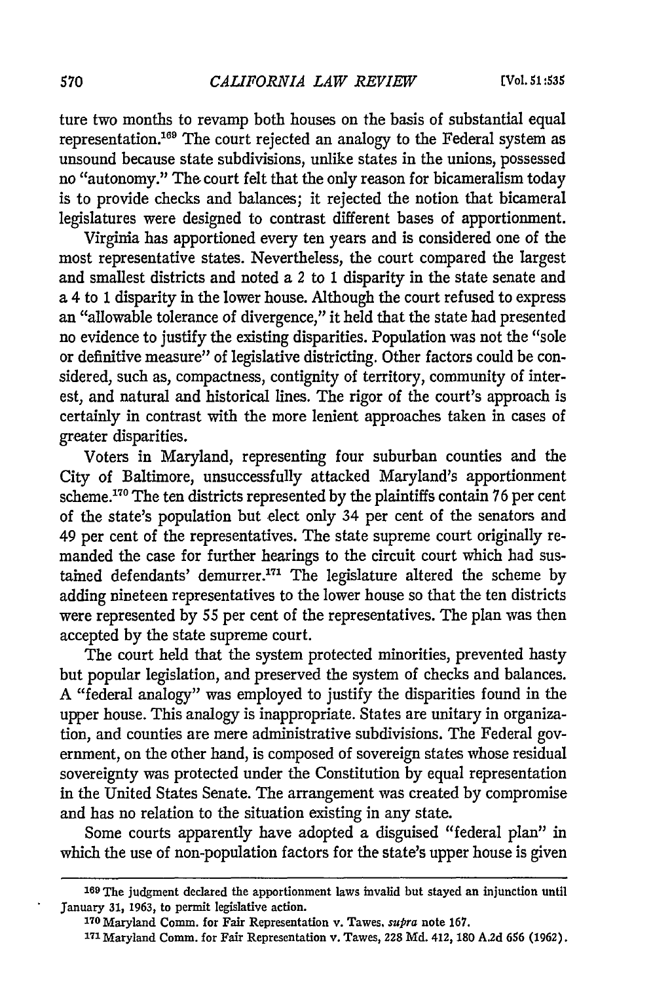ture two months to revamp both houses on the basis of substantial equal representation.'69 The court rejected an analogy to the Federal system as unsound because state subdivisions, unlike states in the unions, possessed no "autonomy." The court felt that the only reason for bicameralism today is to provide checks and balances; it rejected the notion that bicameral legislatures were designed to contrast different bases of apportionment.

Virginia has apportioned every ten years and is considered one of the most representative states. Nevertheless, the court compared the largest and smallest districts and noted a *2* to 1 disparity in the state senate and a 4 to 1 disparity in the lower house. Although the court refused to express an "allowable tolerance of divergence," it held that the state had presented no evidence to justify the existing disparities. Population was not the "sole or definitive measure" of legislative districting. Other factors could be considered, such as, compactness, contignity of territory, community of interest, and natural and historical lines. The rigor of the court's approach is certainly in contrast with the more lenient approaches taken in cases of greater disparities.

Voters in Maryland, representing four suburban counties and the City of Baltimore, unsuccessfully attacked Maryland's apportionment scheme. 170 The ten districts represented by the plaintiffs contain 76 per cent of the state's population but elect only 34 per cent of the senators and 49 per cent of the representatives. The state supreme court originally remanded the case for further hearings to the circuit court which had sustained defendants' demurrer.<sup>171</sup> The legislature altered the scheme by adding nineteen representatives to the lower house so that the ten districts were represented by 55 per cent of the representatives. The plan was then accepted by the state supreme court.

The court held that the system protected minorities, prevented hasty but popular legislation, and preserved the system of checks and balances. A "federal analogy" was employed to justify the disparities found in the upper house. This analogy is inappropriate. States are unitary in organization, and counties are mere administrative subdivisions. The Federal government, on the other hand, is composed of sovereign states whose residual sovereignty was protected under the Constitution by equal representation in the United States Senate. The arrangement was created by compromise and has no relation to the situation existing in any state.

Some courts apparently have adopted a disguised "federal plan" in which the use of non-population factors for the state's upper house is given

**<sup>169</sup>**The judgment declared the apportionment laws invalid but stayed an injunction until January **31,** 1963, to permit legislative action.

**<sup>17</sup>o** Maryland Comm. for Fair Representation v. Tawes. *supra* note 167.

**<sup>171</sup>** Maryland Comm. for Fair Representation v. Tawes, 228 **Md.** 412, **180** A.2d **656** (1962).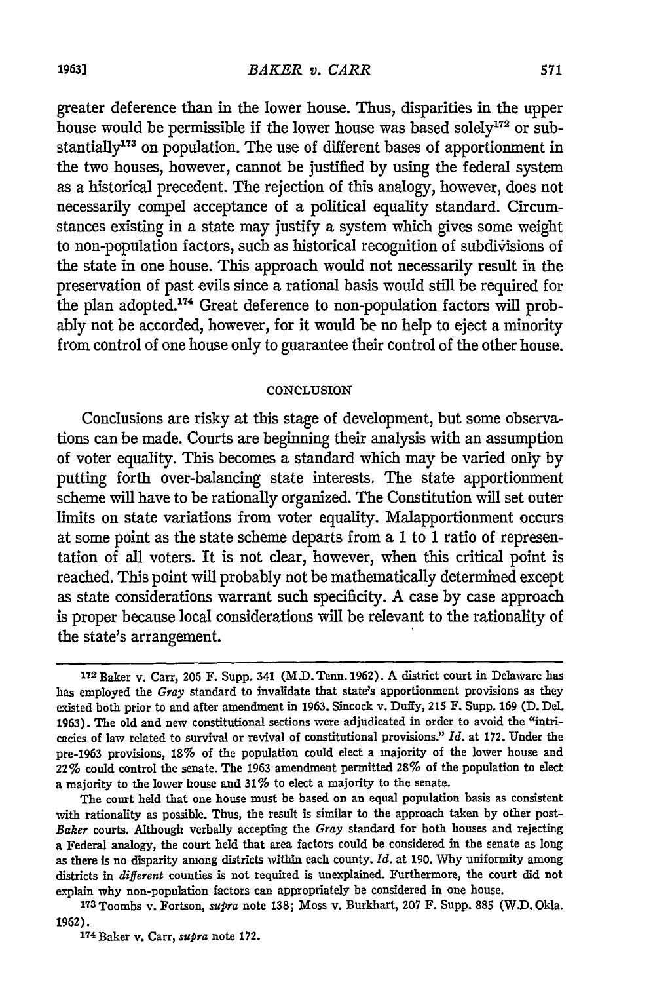greater deference than in the lower house. Thus, disparities in the upper house would be permissible if the lower house was based solely $172$  or substantially<sup>173</sup> on population. The use of different bases of apportionment in the two houses, however, cannot be justified by using the federal system as a historical precedent. The rejection of this analogy, however, does not necessarily compel acceptance of a political equality standard. Circumstances existing in a state may justify a system which gives some weight to non-population factors, such as historical recognition of subdivisions of the state in one house. This approach would not necessarily result in the preservation of past evils since a rational basis would still be required for the plan adopted.<sup>174</sup> Great deference to non-population factors will probably not be accorded, however, for it would be no help to eject a minority from control of one house only to guarantee their control of the other house.

#### **CONCLUSION**

Conclusions are risky at this stage of development, but some observations can be made. Courts are beginning their analysis with an assumption of voter equality. This becomes a standard which may be varied only by putting forth over-balancing state interests. The state apportionment scheme will have to be rationally organized. The Constitution will set outer limits on state variations from voter equality. Malapportionment occurs at some point as the state scheme departs from a 1 to 1 ratio of representation of all voters. It is not clear, however, when this critical point is reached. This point will probably not be mathematically determined except as state considerations warrant such specificity. A case by case approach is proper because local considerations will be relevant to the rationality of the state's arrangement.

The court held that one house must be based on an equal population basis as consistent with rationality as possible. Thus, the result is similar to the approach taken by other post-*Baker* courts. Although verbally accepting the *Gray* standard for both houses and rejecting a Federal analogy, the court held that area factors could be considered in the senate as long as there is no disparity among districts within each county. *Id.* at 190. Why uniformity among districts in *different* counties is not required is unexplained. Furthermore, the court did not explain why non-population factors can appropriately be considered in one house.

**1 <sup>7</sup> <sup>3</sup>**Toombs v. Fortson, *supra* note 138; Moss v. Burkhart, 207 F. Supp. 885 (W.D. Okla. 1962).

**174** Baker v. Carr, *supra* note **172.**

<sup>172</sup> Baker v. Carr, 206 F. Supp. 341 (M.D. Tenn. 1962). A district court in Delaware has has employed the *Gray* standard to invalidate that state's apportionment provisions as they existed both prior to and after amendment in 1963. Sincock v. Duffy, 215 F. Supp. 169 (D. Del. 1963). The old and new constitutional sections were adjudicated in order to avoid the "intricacies of law related to survival or revival of constitutional provisions." *Id.* at 172. Under the pre-1963 provisions, 18% of the population could elect a majority of the lower house and 22% could control the senate. The 1963 amendment permitted 28% of the population to elect a majority to the lower house and 31% to elect a majority to the senate.